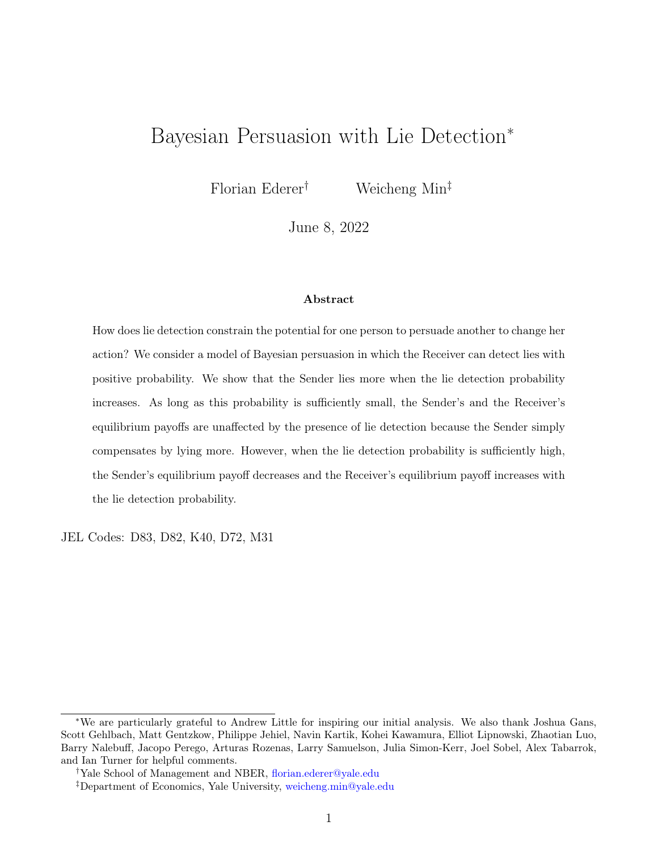# Bayesian Persuasion with Lie Detection<sup>∗</sup>

Florian Ederer<sup>†</sup> Weicheng Min<sup>‡</sup>

June 8, 2022

#### Abstract

How does lie detection constrain the potential for one person to persuade another to change her action? We consider a model of Bayesian persuasion in which the Receiver can detect lies with positive probability. We show that the Sender lies more when the lie detection probability increases. As long as this probability is sufficiently small, the Sender's and the Receiver's equilibrium payoffs are unaffected by the presence of lie detection because the Sender simply compensates by lying more. However, when the lie detection probability is sufficiently high, the Sender's equilibrium payoff decreases and the Receiver's equilibrium payoff increases with the lie detection probability.

JEL Codes: D83, D82, K40, D72, M31

<sup>∗</sup>We are particularly grateful to Andrew Little for inspiring our initial analysis. We also thank Joshua Gans, Scott Gehlbach, Matt Gentzkow, Philippe Jehiel, Navin Kartik, Kohei Kawamura, Elliot Lipnowski, Zhaotian Luo, Barry Nalebuff, Jacopo Perego, Arturas Rozenas, Larry Samuelson, Julia Simon-Kerr, Joel Sobel, Alex Tabarrok, and Ian Turner for helpful comments.

<sup>†</sup>Yale School of Management and NBER, [florian.ederer@yale.edu](mailto:florian.ederer@yale.edu)

<sup>‡</sup>Department of Economics, Yale University, [weicheng.min@yale.edu](mailto:weicheng.min@yale.edu)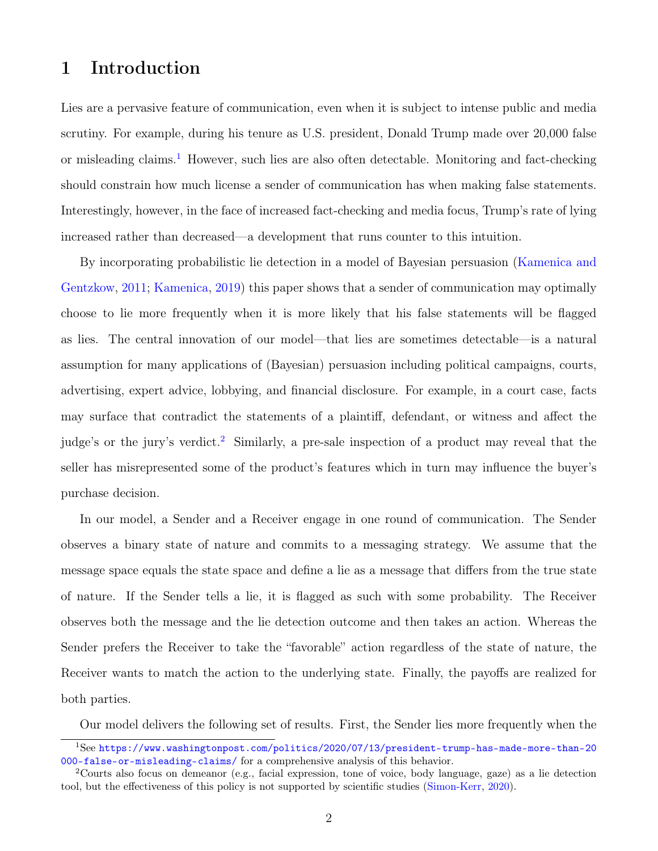## 1 Introduction

Lies are a pervasive feature of communication, even when it is subject to intense public and media scrutiny. For example, during his tenure as U.S. president, Donald Trump made over 20,000 false or misleading claims.<sup>[1](#page-1-0)</sup> However, such lies are also often detectable. Monitoring and fact-checking should constrain how much license a sender of communication has when making false statements. Interestingly, however, in the face of increased fact-checking and media focus, Trump's rate of lying increased rather than decreased—a development that runs counter to this intuition.

By incorporating probabilistic lie detection in a model of Bayesian persuasion [\(Kamenica and](#page-31-0) [Gentzkow,](#page-31-0) [2011;](#page-31-0) [Kamenica,](#page-31-1) [2019\)](#page-31-1) this paper shows that a sender of communication may optimally choose to lie more frequently when it is more likely that his false statements will be flagged as lies. The central innovation of our model—that lies are sometimes detectable—is a natural assumption for many applications of (Bayesian) persuasion including political campaigns, courts, advertising, expert advice, lobbying, and financial disclosure. For example, in a court case, facts may surface that contradict the statements of a plaintiff, defendant, or witness and affect the judge's or the jury's verdict.<sup>[2](#page-1-1)</sup> Similarly, a pre-sale inspection of a product may reveal that the seller has misrepresented some of the product's features which in turn may influence the buyer's purchase decision.

In our model, a Sender and a Receiver engage in one round of communication. The Sender observes a binary state of nature and commits to a messaging strategy. We assume that the message space equals the state space and define a lie as a message that differs from the true state of nature. If the Sender tells a lie, it is flagged as such with some probability. The Receiver observes both the message and the lie detection outcome and then takes an action. Whereas the Sender prefers the Receiver to take the "favorable" action regardless of the state of nature, the Receiver wants to match the action to the underlying state. Finally, the payoffs are realized for both parties.

<span id="page-1-0"></span>Our model delivers the following set of results. First, the Sender lies more frequently when the

<sup>1</sup>See [https://www.washingtonpost.com/politics/2020/07/13/president-trump-has-made-more-than-20](https://www.washingtonpost.com/politics/2020/07/13/president-trump-has-made-more-than-20000-false-or-misleading-claims/) [000-false-or-misleading-claims/](https://www.washingtonpost.com/politics/2020/07/13/president-trump-has-made-more-than-20000-false-or-misleading-claims/) for a comprehensive analysis of this behavior.

<span id="page-1-1"></span><sup>2</sup>Courts also focus on demeanor (e.g., facial expression, tone of voice, body language, gaze) as a lie detection tool, but the effectiveness of this policy is not supported by scientific studies [\(Simon-Kerr,](#page-31-2) [2020\)](#page-31-2).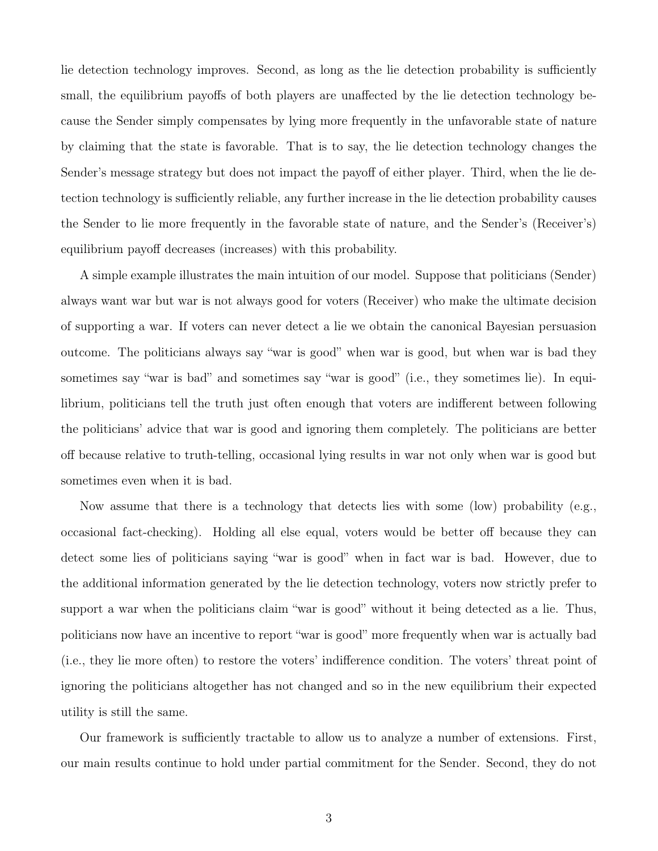lie detection technology improves. Second, as long as the lie detection probability is sufficiently small, the equilibrium payoffs of both players are unaffected by the lie detection technology because the Sender simply compensates by lying more frequently in the unfavorable state of nature by claiming that the state is favorable. That is to say, the lie detection technology changes the Sender's message strategy but does not impact the payoff of either player. Third, when the lie detection technology is sufficiently reliable, any further increase in the lie detection probability causes the Sender to lie more frequently in the favorable state of nature, and the Sender's (Receiver's) equilibrium payoff decreases (increases) with this probability.

A simple example illustrates the main intuition of our model. Suppose that politicians (Sender) always want war but war is not always good for voters (Receiver) who make the ultimate decision of supporting a war. If voters can never detect a lie we obtain the canonical Bayesian persuasion outcome. The politicians always say "war is good" when war is good, but when war is bad they sometimes say "war is bad" and sometimes say "war is good" (i.e., they sometimes lie). In equilibrium, politicians tell the truth just often enough that voters are indifferent between following the politicians' advice that war is good and ignoring them completely. The politicians are better off because relative to truth-telling, occasional lying results in war not only when war is good but sometimes even when it is bad.

Now assume that there is a technology that detects lies with some (low) probability (e.g., occasional fact-checking). Holding all else equal, voters would be better off because they can detect some lies of politicians saying "war is good" when in fact war is bad. However, due to the additional information generated by the lie detection technology, voters now strictly prefer to support a war when the politicians claim "war is good" without it being detected as a lie. Thus, politicians now have an incentive to report "war is good" more frequently when war is actually bad (i.e., they lie more often) to restore the voters' indifference condition. The voters' threat point of ignoring the politicians altogether has not changed and so in the new equilibrium their expected utility is still the same.

Our framework is sufficiently tractable to allow us to analyze a number of extensions. First, our main results continue to hold under partial commitment for the Sender. Second, they do not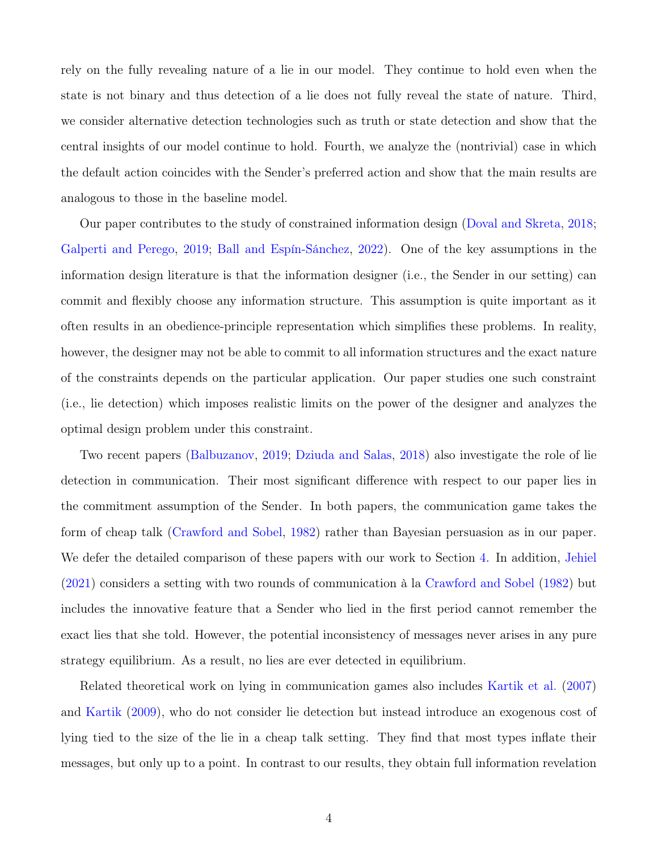rely on the fully revealing nature of a lie in our model. They continue to hold even when the state is not binary and thus detection of a lie does not fully reveal the state of nature. Third, we consider alternative detection technologies such as truth or state detection and show that the central insights of our model continue to hold. Fourth, we analyze the (nontrivial) case in which the default action coincides with the Sender's preferred action and show that the main results are analogous to those in the baseline model.

Our paper contributes to the study of constrained information design [\(Doval and Skreta,](#page-30-0) [2018;](#page-30-0) [Galperti and Perego,](#page-30-1) [2019;](#page-30-1) [Ball and Espín-Sánchez,](#page-30-2) [2022\)](#page-30-2). One of the key assumptions in the information design literature is that the information designer (i.e., the Sender in our setting) can commit and flexibly choose any information structure. This assumption is quite important as it often results in an obedience-principle representation which simplifies these problems. In reality, however, the designer may not be able to commit to all information structures and the exact nature of the constraints depends on the particular application. Our paper studies one such constraint (i.e., lie detection) which imposes realistic limits on the power of the designer and analyzes the optimal design problem under this constraint.

Two recent papers [\(Balbuzanov,](#page-30-3) [2019;](#page-30-3) [Dziuda and Salas,](#page-30-4) [2018\)](#page-30-4) also investigate the role of lie detection in communication. Their most significant difference with respect to our paper lies in the commitment assumption of the Sender. In both papers, the communication game takes the form of cheap talk [\(Crawford and Sobel,](#page-30-5) [1982\)](#page-30-5) rather than Bayesian persuasion as in our paper. We defer the detailed comparison of these papers with our work to Section [4.](#page-18-0) In addition, [Jehiel](#page-31-3) [\(2021\)](#page-31-3) considers a setting with two rounds of communication à la [Crawford and Sobel](#page-30-5) [\(1982\)](#page-30-5) but includes the innovative feature that a Sender who lied in the first period cannot remember the exact lies that she told. However, the potential inconsistency of messages never arises in any pure strategy equilibrium. As a result, no lies are ever detected in equilibrium.

Related theoretical work on lying in communication games also includes [Kartik et al.](#page-31-4) [\(2007\)](#page-31-4) and [Kartik](#page-31-5) [\(2009\)](#page-31-5), who do not consider lie detection but instead introduce an exogenous cost of lying tied to the size of the lie in a cheap talk setting. They find that most types inflate their messages, but only up to a point. In contrast to our results, they obtain full information revelation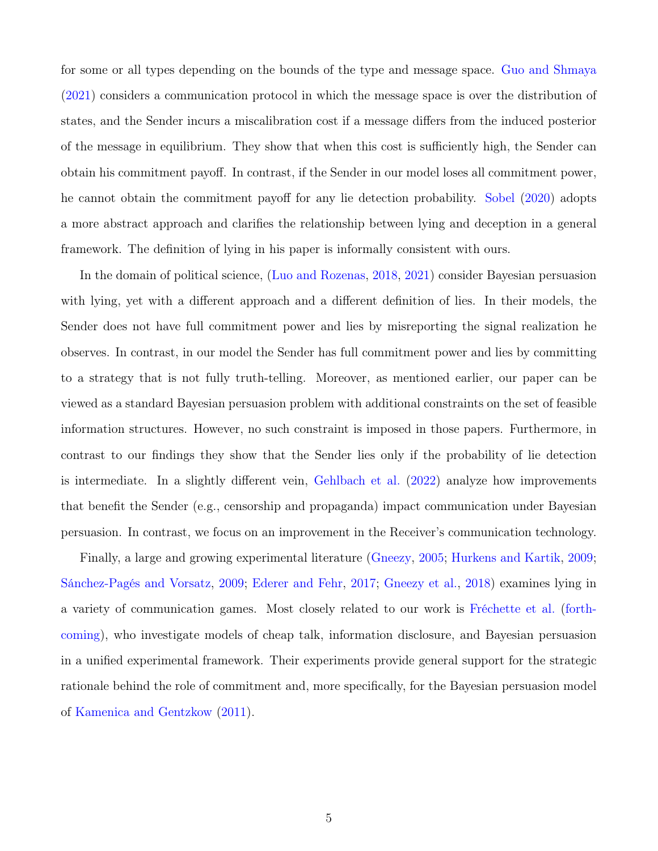for some or all types depending on the bounds of the type and message space. [Guo and Shmaya](#page-30-6) [\(2021\)](#page-30-6) considers a communication protocol in which the message space is over the distribution of states, and the Sender incurs a miscalibration cost if a message differs from the induced posterior of the message in equilibrium. They show that when this cost is sufficiently high, the Sender can obtain his commitment payoff. In contrast, if the Sender in our model loses all commitment power, he cannot obtain the commitment payoff for any lie detection probability. [Sobel](#page-31-6) [\(2020\)](#page-31-6) adopts a more abstract approach and clarifies the relationship between lying and deception in a general framework. The definition of lying in his paper is informally consistent with ours.

In the domain of political science, [\(Luo and Rozenas,](#page-31-7) [2018,](#page-31-7) [2021\)](#page-31-8) consider Bayesian persuasion with lying, yet with a different approach and a different definition of lies. In their models, the Sender does not have full commitment power and lies by misreporting the signal realization he observes. In contrast, in our model the Sender has full commitment power and lies by committing to a strategy that is not fully truth-telling. Moreover, as mentioned earlier, our paper can be viewed as a standard Bayesian persuasion problem with additional constraints on the set of feasible information structures. However, no such constraint is imposed in those papers. Furthermore, in contrast to our findings they show that the Sender lies only if the probability of lie detection is intermediate. In a slightly different vein, [Gehlbach et al.](#page-30-7) [\(2022\)](#page-30-7) analyze how improvements that benefit the Sender (e.g., censorship and propaganda) impact communication under Bayesian persuasion. In contrast, we focus on an improvement in the Receiver's communication technology.

Finally, a large and growing experimental literature [\(Gneezy,](#page-30-8) [2005;](#page-30-8) [Hurkens and Kartik,](#page-30-9) [2009;](#page-30-9) [Sánchez-Pagés and Vorsatz,](#page-31-9) [2009;](#page-31-9) [Ederer and Fehr,](#page-30-10) [2017;](#page-30-10) [Gneezy et al.,](#page-30-11) [2018\)](#page-30-11) examines lying in a variety of communication games. Most closely related to our work is [Fréchette et al.](#page-30-12) [\(forth](#page-30-12)[coming\)](#page-30-12), who investigate models of cheap talk, information disclosure, and Bayesian persuasion in a unified experimental framework. Their experiments provide general support for the strategic rationale behind the role of commitment and, more specifically, for the Bayesian persuasion model of [Kamenica and Gentzkow](#page-31-0) [\(2011\)](#page-31-0).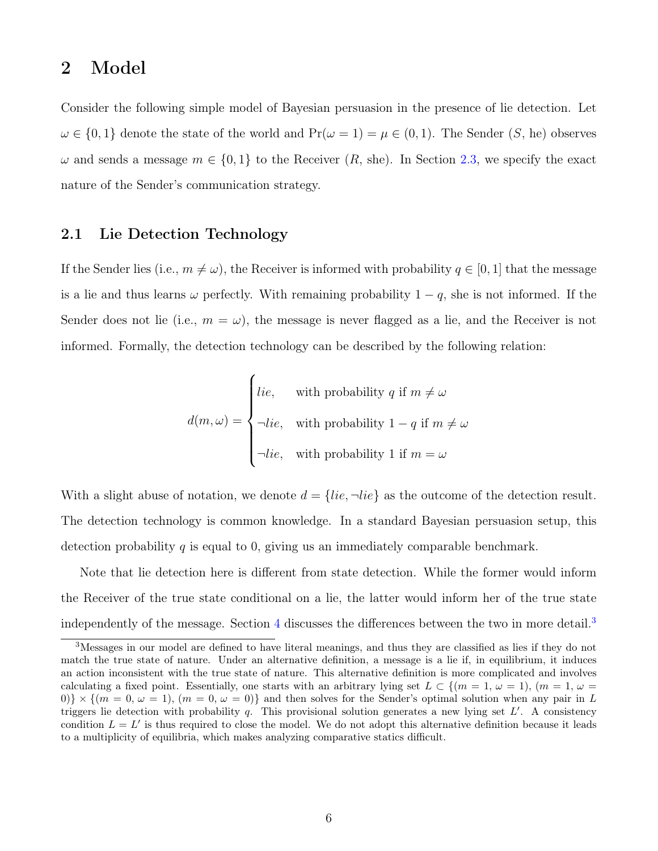## 2 Model

Consider the following simple model of Bayesian persuasion in the presence of lie detection. Let  $\omega \in \{0,1\}$  denote the state of the world and  $Pr(\omega = 1) = \mu \in (0,1)$ . The Sender  $(S, he)$  observes  $\omega$  and sends a message  $m \in \{0,1\}$  to the Receiver  $(R,$  she). In Section [2.3,](#page-6-0) we specify the exact nature of the Sender's communication strategy.

#### 2.1 Lie Detection Technology

If the Sender lies (i.e.,  $m \neq \omega$ ), the Receiver is informed with probability  $q \in [0, 1]$  that the message is a lie and thus learns  $\omega$  perfectly. With remaining probability  $1 - q$ , she is not informed. If the Sender does not lie (i.e.,  $m = \omega$ ), the message is never flagged as a lie, and the Receiver is not informed. Formally, the detection technology can be described by the following relation:

$$
d(m,\omega) = \begin{cases} lie, & \text{with probability } q \text{ if } m \neq \omega \\ \neg lie, & \text{with probability } 1 - q \text{ if } m \neq \omega \\ \neg lie, & \text{with probability } 1 \text{ if } m = \omega \end{cases}
$$

With a slight abuse of notation, we denote  $d = \{lie, \neg lie\}$  as the outcome of the detection result. The detection technology is common knowledge. In a standard Bayesian persuasion setup, this detection probability q is equal to 0, giving us an immediately comparable benchmark.

Note that lie detection here is different from state detection. While the former would inform the Receiver of the true state conditional on a lie, the latter would inform her of the true state independently of the message. Section [4](#page-18-0) discusses the differences between the two in more detail.<sup>[3](#page-5-0)</sup>

<span id="page-5-0"></span><sup>3</sup>Messages in our model are defined to have literal meanings, and thus they are classified as lies if they do not match the true state of nature. Under an alternative definition, a message is a lie if, in equilibrium, it induces an action inconsistent with the true state of nature. This alternative definition is more complicated and involves calculating a fixed point. Essentially, one starts with an arbitrary lying set  $L \subset \{(m = 1, \omega = 1), (m = 1, \omega = 1)\}$ 0)}  $\times$  { $(m = 0, \omega = 1)$ ,  $(m = 0, \omega = 0)$ } and then solves for the Sender's optimal solution when any pair in L triggers lie detection with probability  $q$ . This provisional solution generates a new lying set  $L'$ . A consistency condition  $L = L'$  is thus required to close the model. We do not adopt this alternative definition because it leads to a multiplicity of equilibria, which makes analyzing comparative statics difficult.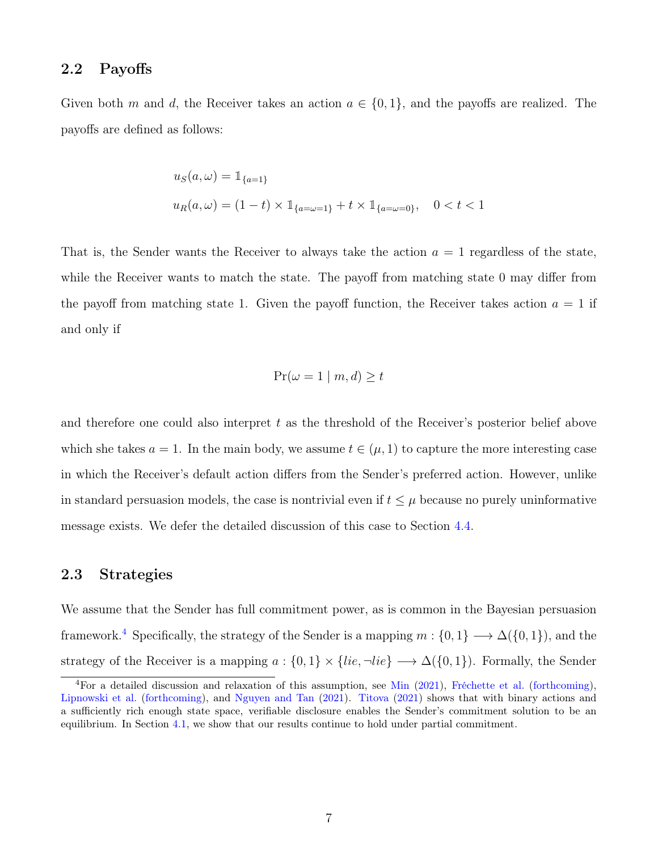#### <span id="page-6-2"></span>2.2 Payoffs

Given both m and d, the Receiver takes an action  $a \in \{0,1\}$ , and the payoffs are realized. The payoffs are defined as follows:

$$
u_S(a,\omega) = 1\!\!1_{\{a=1\}}
$$
  

$$
u_R(a,\omega) = (1-t) \times 1\!\!1_{\{a=\omega=1\}} + t \times 1\!\!1_{\{a=\omega=0\}}, \quad 0 < t < 1
$$

That is, the Sender wants the Receiver to always take the action  $a = 1$  regardless of the state, while the Receiver wants to match the state. The payoff from matching state 0 may differ from the payoff from matching state 1. Given the payoff function, the Receiver takes action  $a = 1$  if and only if

$$
\Pr(\omega = 1 \mid m, d) \ge t
$$

and therefore one could also interpret  $t$  as the threshold of the Receiver's posterior belief above which she takes  $a = 1$ . In the main body, we assume  $t \in (\mu, 1)$  to capture the more interesting case in which the Receiver's default action differs from the Sender's preferred action. However, unlike in standard persuasion models, the case is nontrivial even if  $t \leq \mu$  because no purely uninformative message exists. We defer the detailed discussion of this case to Section [4.4.](#page-26-0)

### <span id="page-6-0"></span>2.3 Strategies

We assume that the Sender has full commitment power, as is common in the Bayesian persuasion framework.<sup>[4](#page-6-1)</sup> Specifically, the strategy of the Sender is a mapping  $m: \{0, 1\} \longrightarrow \Delta({0, 1})$ , and the strategy of the Receiver is a mapping  $a: \{0,1\} \times \{lie, \neg lie\} \longrightarrow \Delta({0,1})$ . Formally, the Sender

<span id="page-6-1"></span><sup>&</sup>lt;sup>4</sup>For a detailed discussion and relaxation of this assumption, see [Min](#page-31-10) [\(2021\)](#page-31-10), [Fréchette et al.](#page-30-12) [\(forthcoming\)](#page-30-12), [Lipnowski et al.](#page-31-11) [\(forthcoming\)](#page-31-11), and [Nguyen and Tan](#page-31-12) [\(2021\)](#page-31-12). [Titova](#page-31-13) [\(2021\)](#page-31-13) shows that with binary actions and a sufficiently rich enough state space, verifiable disclosure enables the Sender's commitment solution to be an equilibrium. In Section [4.1,](#page-19-0) we show that our results continue to hold under partial commitment.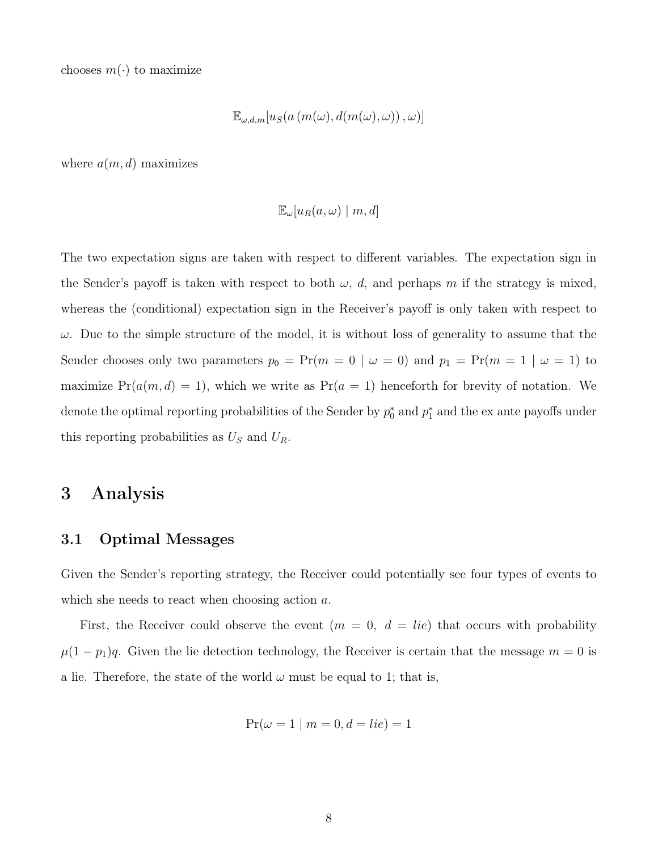chooses  $m(\cdot)$  to maximize

$$
\mathbb{E}_{\omega,d,m}[u_S(a(m(\omega),d(m(\omega),\omega)),\omega)]
$$

where  $a(m, d)$  maximizes

$$
\mathbb{E}_{\omega}[u_R(a,\omega) \mid m, d]
$$

The two expectation signs are taken with respect to different variables. The expectation sign in the Sender's payoff is taken with respect to both  $\omega$ , d, and perhaps m if the strategy is mixed, whereas the (conditional) expectation sign in the Receiver's payoff is only taken with respect to  $\omega$ . Due to the simple structure of the model, it is without loss of generality to assume that the Sender chooses only two parameters  $p_0 = Pr(m = 0 \mid \omega = 0)$  and  $p_1 = Pr(m = 1 \mid \omega = 1)$  to maximize  $Pr(a(m, d) = 1)$ , which we write as  $Pr(a = 1)$  henceforth for brevity of notation. We denote the optimal reporting probabilities of the Sender by  $p_0^*$  and  $p_1^*$  and the ex ante payoffs under this reporting probabilities as  $U<sub>S</sub>$  and  $U<sub>R</sub>$ .

## 3 Analysis

#### 3.1 Optimal Messages

Given the Sender's reporting strategy, the Receiver could potentially see four types of events to which she needs to react when choosing action a.

First, the Receiver could observe the event  $(m = 0, d = lie)$  that occurs with probability  $\mu(1-p_1)q$ . Given the lie detection technology, the Receiver is certain that the message  $m=0$  is a lie. Therefore, the state of the world  $\omega$  must be equal to 1; that is,

$$
Pr(\omega = 1 \mid m = 0, d = lie) = 1
$$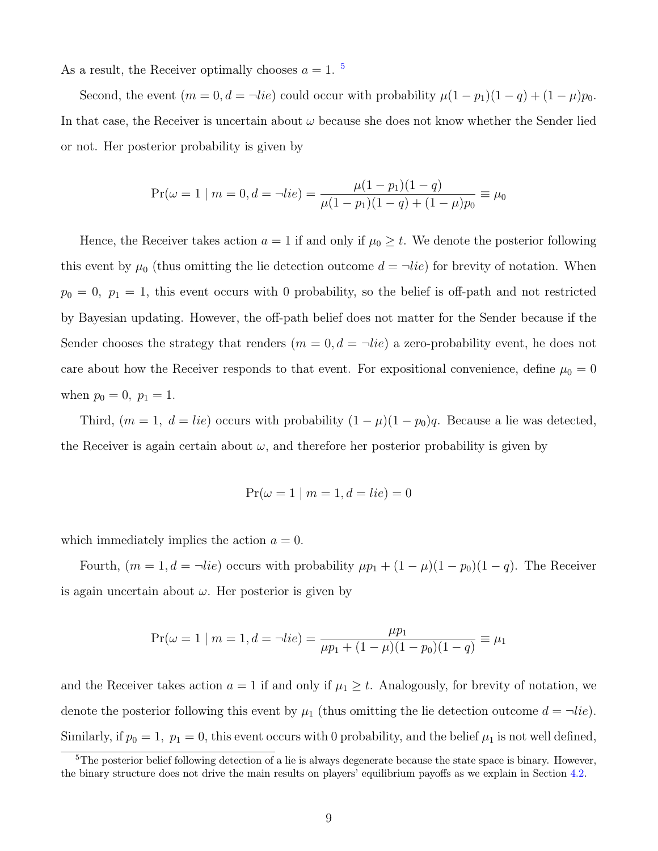As a result, the Receiver optimally chooses  $a = 1$ .<sup>[5](#page-8-0)</sup>

Second, the event  $(m = 0, d = \neg lie)$  could occur with probability  $\mu(1 - p_1)(1 - q) + (1 - \mu)p_0$ . In that case, the Receiver is uncertain about  $\omega$  because she does not know whether the Sender lied or not. Her posterior probability is given by

$$
Pr(\omega = 1 | m = 0, d = \neg lie) = \frac{\mu(1 - p_1)(1 - q)}{\mu(1 - p_1)(1 - q) + (1 - \mu)p_0} \equiv \mu_0
$$

Hence, the Receiver takes action  $a = 1$  if and only if  $\mu_0 \geq t$ . We denote the posterior following this event by  $\mu_0$  (thus omitting the lie detection outcome  $d = \neg lie$ ) for brevity of notation. When  $p_0 = 0$ ,  $p_1 = 1$ , this event occurs with 0 probability, so the belief is off-path and not restricted by Bayesian updating. However, the off-path belief does not matter for the Sender because if the Sender chooses the strategy that renders  $(m = 0, d = \neg lie)$  a zero-probability event, he does not care about how the Receiver responds to that event. For expositional convenience, define  $\mu_0 = 0$ when  $p_0 = 0$ ,  $p_1 = 1$ .

Third,  $(m = 1, d = lie)$  occurs with probability  $(1 - \mu)(1 - p_0)q$ . Because a lie was detected, the Receiver is again certain about  $\omega$ , and therefore her posterior probability is given by

$$
Pr(\omega = 1 \mid m = 1, d = lie) = 0
$$

which immediately implies the action  $a = 0$ .

Fourth,  $(m = 1, d = \neg lie)$  occurs with probability  $\mu p_1 + (1 - \mu)(1 - p_0)(1 - q)$ . The Receiver is again uncertain about  $\omega$ . Her posterior is given by

$$
Pr(\omega = 1 | m = 1, d = \neg lie) = \frac{\mu p_1}{\mu p_1 + (1 - \mu)(1 - p_0)(1 - q)} \equiv \mu_1
$$

and the Receiver takes action  $a = 1$  if and only if  $\mu_1 \geq t$ . Analogously, for brevity of notation, we denote the posterior following this event by  $\mu_1$  (thus omitting the lie detection outcome  $d = \neg lie$ ). Similarly, if  $p_0 = 1$ ,  $p_1 = 0$ , this event occurs with 0 probability, and the belief  $\mu_1$  is not well defined,

<span id="page-8-0"></span><sup>&</sup>lt;sup>5</sup>The posterior belief following detection of a lie is always degenerate because the state space is binary. However, the binary structure does not drive the main results on players' equilibrium payoffs as we explain in Section [4.2.](#page-21-0)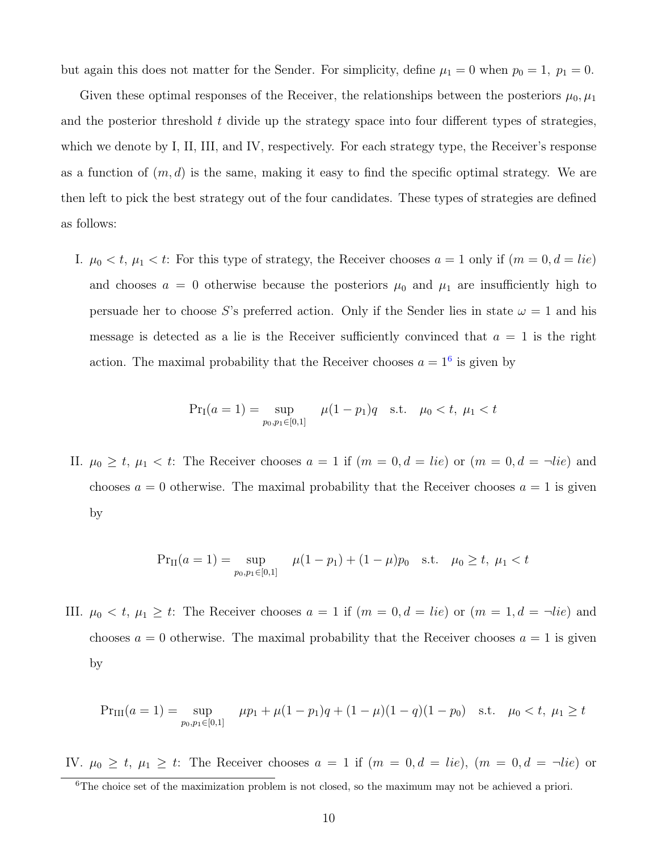but again this does not matter for the Sender. For simplicity, define  $\mu_1 = 0$  when  $p_0 = 1$ ,  $p_1 = 0$ .

Given these optimal responses of the Receiver, the relationships between the posteriors  $\mu_0, \mu_1$ and the posterior threshold  $t$  divide up the strategy space into four different types of strategies, which we denote by I, II, III, and IV, respectively. For each strategy type, the Receiver's response as a function of  $(m, d)$  is the same, making it easy to find the specific optimal strategy. We are then left to pick the best strategy out of the four candidates. These types of strategies are defined as follows:

I.  $\mu_0 < t$ ,  $\mu_1 < t$ : For this type of strategy, the Receiver chooses  $a = 1$  only if  $(m = 0, d = lie)$ and chooses  $a = 0$  otherwise because the posteriors  $\mu_0$  and  $\mu_1$  are insufficiently high to persuade her to choose S's preferred action. Only if the Sender lies in state  $\omega = 1$  and his message is detected as a lie is the Receiver sufficiently convinced that  $a = 1$  is the right action. The maximal probability that the Receiver chooses  $a = 1<sup>6</sup>$  $a = 1<sup>6</sup>$  $a = 1<sup>6</sup>$  is given by

$$
\Pr_I(a=1) = \sup_{p_0, p_1 \in [0,1]} \mu(1-p_1)q \quad \text{s.t.} \quad \mu_0 < t, \ \mu_1 < t
$$

II.  $\mu_0 \geq t$ ,  $\mu_1 < t$ : The Receiver chooses  $a = 1$  if  $(m = 0, d = lie)$  or  $(m = 0, d = \neg lie)$  and chooses  $a = 0$  otherwise. The maximal probability that the Receiver chooses  $a = 1$  is given by

$$
\Pr_{\text{II}}(a=1) = \sup_{p_0, p_1 \in [0,1]} \mu(1-p_1) + (1-\mu)p_0 \quad \text{s.t.} \quad \mu_0 \ge t, \ \mu_1 < t
$$

III.  $\mu_0 < t$ ,  $\mu_1 \ge t$ : The Receiver chooses  $a = 1$  if  $(m = 0, d = lie)$  or  $(m = 1, d = \neg lie)$  and chooses  $a = 0$  otherwise. The maximal probability that the Receiver chooses  $a = 1$  is given by

$$
\Pr_{\text{III}}(a=1) = \sup_{p_0, p_1 \in [0,1]} \mu p_1 + \mu (1 - p_1) q + (1 - \mu)(1 - q)(1 - p_0) \text{ s.t. } \mu_0 < t, \mu_1 \ge t
$$

IV.  $\mu_0 \geq t$ ,  $\mu_1 \geq t$ : The Receiver chooses  $a = 1$  if  $(m = 0, d = lie)$ ,  $(m = 0, d = \neg lie)$  or

<span id="page-9-0"></span><sup>&</sup>lt;sup>6</sup>The choice set of the maximization problem is not closed, so the maximum may not be achieved a priori.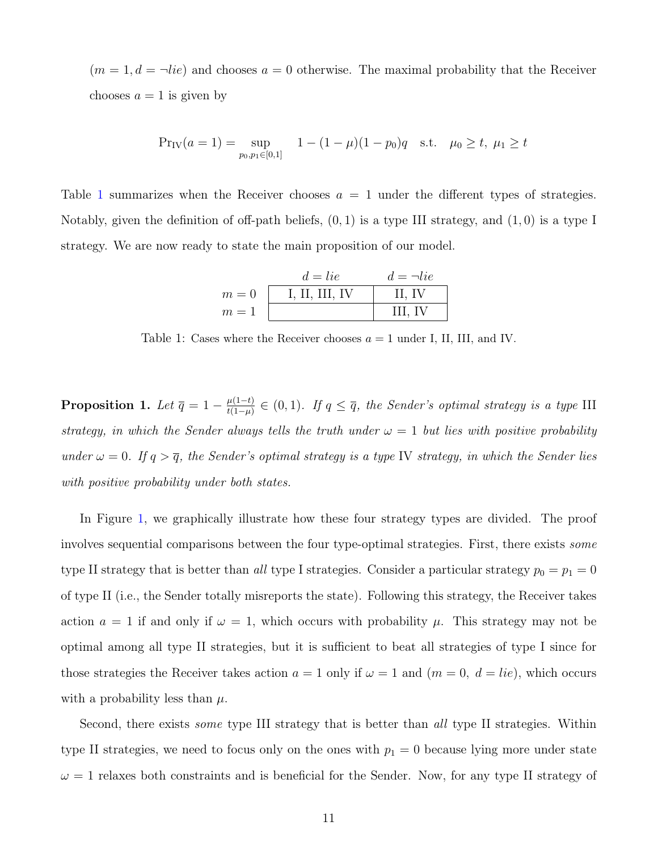$(m = 1, d = \neg lie)$  and chooses  $a = 0$  otherwise. The maximal probability that the Receiver chooses  $a = 1$  is given by

$$
Pr_{IV}(a=1) = \sup_{p_0, p_1 \in [0,1]} 1 - (1 - \mu)(1 - p_0)q \text{ s.t. } \mu_0 \ge t, \mu_1 \ge t
$$

<span id="page-10-0"></span>Table [1](#page-10-0) summarizes when the Receiver chooses  $a = 1$  under the different types of strategies. Notably, given the definition of off-path beliefs,  $(0, 1)$  is a type III strategy, and  $(1, 0)$  is a type I strategy. We are now ready to state the main proposition of our model.

|       | $d = lie$      | $d = \neg lie$ |
|-------|----------------|----------------|
| $m=0$ | I, II, III, IV | II, IV         |
| $m=1$ |                | III. IV        |

Table 1: Cases where the Receiver chooses  $a = 1$  under I, II, III, and IV.

<span id="page-10-1"></span>**Proposition 1.** Let  $\overline{q} = 1 - \frac{\mu(1-t)}{t(1-\mu)}$  $\frac{\mu(1-t)}{t(1-\mu)} \in (0,1)$ . If  $q \leq \overline{q}$ , the Sender's optimal strategy is a type III strategy, in which the Sender always tells the truth under  $\omega = 1$  but lies with positive probability under  $\omega = 0$ . If  $q > \overline{q}$ , the Sender's optimal strategy is a type IV strategy, in which the Sender lies with positive probability under both states.

In Figure [1,](#page-11-0) we graphically illustrate how these four strategy types are divided. The proof involves sequential comparisons between the four type-optimal strategies. First, there exists some type II strategy that is better than all type I strategies. Consider a particular strategy  $p_0 = p_1 = 0$ of type II (i.e., the Sender totally misreports the state). Following this strategy, the Receiver takes action  $a = 1$  if and only if  $\omega = 1$ , which occurs with probability  $\mu$ . This strategy may not be optimal among all type II strategies, but it is sufficient to beat all strategies of type I since for those strategies the Receiver takes action  $a = 1$  only if  $\omega = 1$  and  $(m = 0, d = lie)$ , which occurs with a probability less than  $\mu$ .

Second, there exists *some* type III strategy that is better than all type II strategies. Within type II strategies, we need to focus only on the ones with  $p_1 = 0$  because lying more under state  $\omega = 1$  relaxes both constraints and is beneficial for the Sender. Now, for any type II strategy of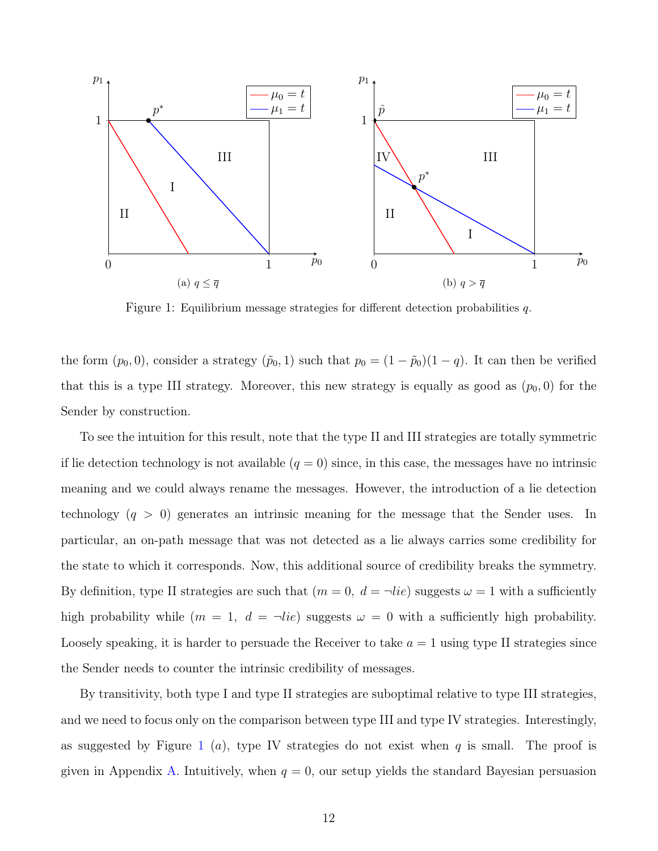<span id="page-11-0"></span>

Figure 1: Equilibrium message strategies for different detection probabilities q.

the form  $(p_0, 0)$ , consider a strategy  $(\tilde{p}_0, 1)$  such that  $p_0 = (1 - \tilde{p}_0)(1 - q)$ . It can then be verified that this is a type III strategy. Moreover, this new strategy is equally as good as  $(p_0, 0)$  for the Sender by construction.

To see the intuition for this result, note that the type II and III strategies are totally symmetric if lie detection technology is not available  $(q = 0)$  since, in this case, the messages have no intrinsic meaning and we could always rename the messages. However, the introduction of a lie detection technology  $(q > 0)$  generates an intrinsic meaning for the message that the Sender uses. In particular, an on-path message that was not detected as a lie always carries some credibility for the state to which it corresponds. Now, this additional source of credibility breaks the symmetry. By definition, type II strategies are such that  $(m = 0, d = \neg lie)$  suggests  $\omega = 1$  with a sufficiently high probability while  $(m = 1, d = \neg lie)$  suggests  $\omega = 0$  with a sufficiently high probability. Loosely speaking, it is harder to persuade the Receiver to take  $a = 1$  using type II strategies since the Sender needs to counter the intrinsic credibility of messages.

By transitivity, both type I and type II strategies are suboptimal relative to type III strategies, and we need to focus only on the comparison between type III and type IV strategies. Interestingly, as suggested by Figure [1](#page-11-0) (*a*), type IV strategies do not exist when q is small. The proof is given in Appendix [A.](#page-32-0) Intuitively, when  $q = 0$ , our setup yields the standard Bayesian persuasion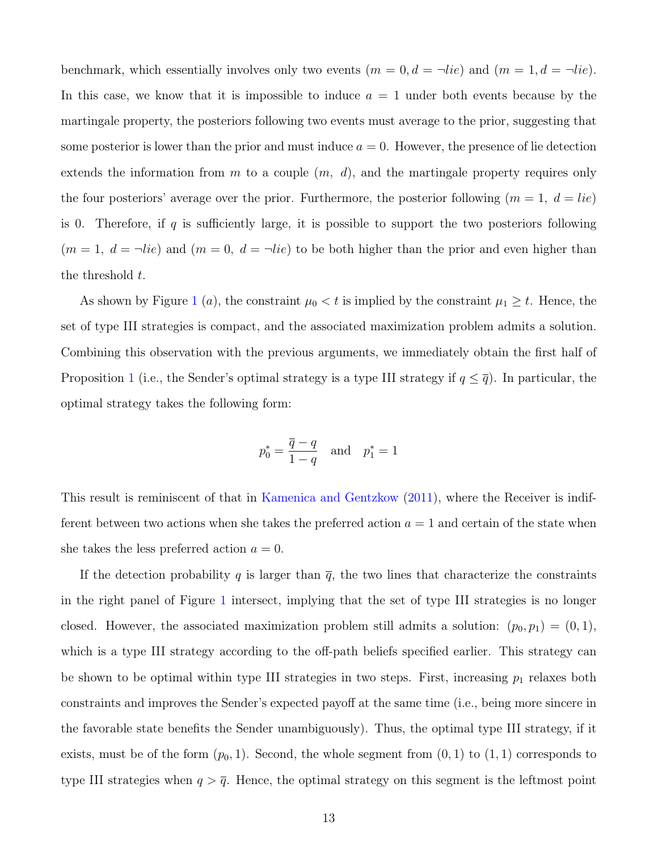benchmark, which essentially involves only two events  $(m = 0, d = \neg lie)$  and  $(m = 1, d = \neg lie)$ . In this case, we know that it is impossible to induce  $a = 1$  under both events because by the martingale property, the posteriors following two events must average to the prior, suggesting that some posterior is lower than the prior and must induce  $a = 0$ . However, the presence of lie detection extends the information from m to a couple  $(m, d)$ , and the martingale property requires only the four posteriors' average over the prior. Furthermore, the posterior following  $(m = 1, d = lie)$ is 0. Therefore, if  $q$  is sufficiently large, it is possible to support the two posteriors following  $(m = 1, d = \neg lie)$  and  $(m = 0, d = \neg lie)$  to be both higher than the prior and even higher than the threshold  $t$ .

As shown by Figure [1](#page-11-0) (a), the constraint  $\mu_0 < t$  is implied by the constraint  $\mu_1 \geq t$ . Hence, the set of type III strategies is compact, and the associated maximization problem admits a solution. Combining this observation with the previous arguments, we immediately obtain the first half of Proposition [1](#page-10-1) (i.e., the Sender's optimal strategy is a type III strategy if  $q \leq \overline{q}$ ). In particular, the optimal strategy takes the following form:

$$
p_0^* = \frac{\overline{q} - q}{1 - q} \quad \text{and} \quad p_1^* = 1
$$

This result is reminiscent of that in [Kamenica and Gentzkow](#page-31-0) [\(2011\)](#page-31-0), where the Receiver is indifferent between two actions when she takes the preferred action  $a = 1$  and certain of the state when she takes the less preferred action  $a = 0$ .

If the detection probability q is larger than  $\bar{q}$ , the two lines that characterize the constraints in the right panel of Figure [1](#page-11-0) intersect, implying that the set of type III strategies is no longer closed. However, the associated maximization problem still admits a solution:  $(p_0, p_1) = (0, 1)$ , which is a type III strategy according to the off-path beliefs specified earlier. This strategy can be shown to be optimal within type III strategies in two steps. First, increasing  $p_1$  relaxes both constraints and improves the Sender's expected payoff at the same time (i.e., being more sincere in the favorable state benefits the Sender unambiguously). Thus, the optimal type III strategy, if it exists, must be of the form  $(p_0, 1)$ . Second, the whole segment from  $(0, 1)$  to  $(1, 1)$  corresponds to type III strategies when  $q > \overline{q}$ . Hence, the optimal strategy on this segment is the leftmost point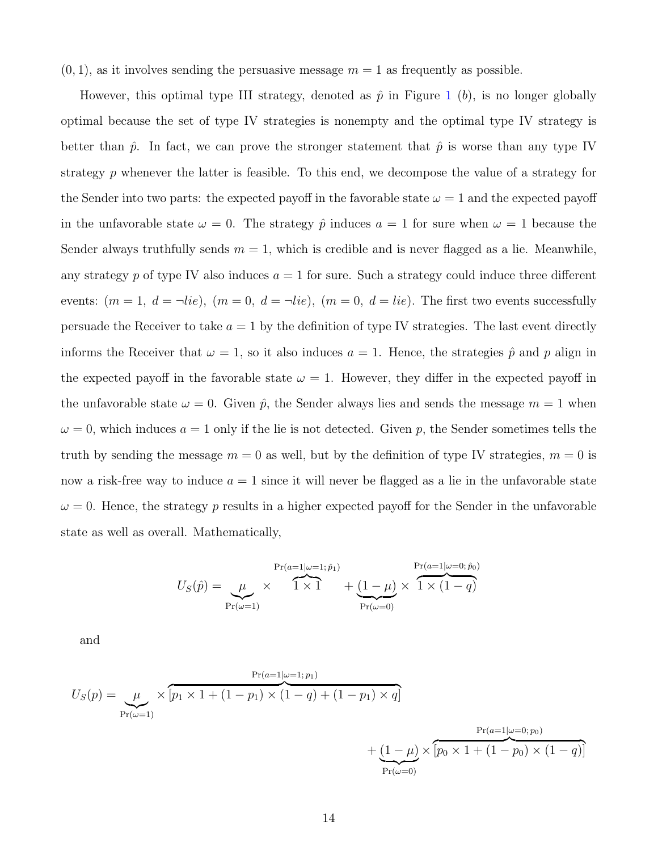$(0, 1)$ , as it involves sending the persuasive message  $m = 1$  as frequently as possible.

However, this optimal type III strategy, denoted as  $\hat{p}$  in Figure [1](#page-11-0) (b), is no longer globally optimal because the set of type IV strategies is nonempty and the optimal type IV strategy is better than  $\hat{p}$ . In fact, we can prove the stronger statement that  $\hat{p}$  is worse than any type IV strategy p whenever the latter is feasible. To this end, we decompose the value of a strategy for the Sender into two parts: the expected payoff in the favorable state  $\omega = 1$  and the expected payoff in the unfavorable state  $\omega = 0$ . The strategy  $\hat{p}$  induces  $a = 1$  for sure when  $\omega = 1$  because the Sender always truthfully sends  $m = 1$ , which is credible and is never flagged as a lie. Meanwhile, any strategy p of type IV also induces  $a = 1$  for sure. Such a strategy could induce three different events:  $(m = 1, d = \neg lie), (m = 0, d = \neg lie), (m = 0, d = lie).$  The first two events successfully persuade the Receiver to take  $a = 1$  by the definition of type IV strategies. The last event directly informs the Receiver that  $\omega = 1$ , so it also induces  $a = 1$ . Hence, the strategies  $\hat{p}$  and p align in the expected payoff in the favorable state  $\omega = 1$ . However, they differ in the expected payoff in the unfavorable state  $\omega = 0$ . Given  $\hat{p}$ , the Sender always lies and sends the message  $m = 1$  when  $\omega = 0$ , which induces  $a = 1$  only if the lie is not detected. Given p, the Sender sometimes tells the truth by sending the message  $m = 0$  as well, but by the definition of type IV strategies,  $m = 0$  is now a risk-free way to induce  $a = 1$  since it will never be flagged as a lie in the unfavorable state  $\omega = 0$ . Hence, the strategy p results in a higher expected payoff for the Sender in the unfavorable state as well as overall. Mathematically,

$$
U_S(\hat{p}) = \underbrace{\mu}_{\Pr(\omega=1)} \times \overbrace{1 \times 1}^{\Pr(a=1|\omega=1; \hat{p}_1)} + \underbrace{(1-\mu)}_{\Pr(\omega=0)} \times \overbrace{1 \times (1-q)}^{\Pr(a=1|\omega=0; \hat{p}_0)}
$$

and

$$
U_S(p) = \underbrace{\mu}_{\Pr(\omega=1)} \times \overbrace{[p_1 \times 1 + (1 - p_1) \times (1 - q) + (1 - p_1) \times q]}^{\Pr(a=1|\omega=1; p_1)} + \underbrace{(1 - \mu)}_{\Pr(\omega=0)} \times \overbrace{[p_0 \times 1 + (1 - p_0) \times (1 - q)]}^{\Pr(a=1|\omega=0; p_0)}
$$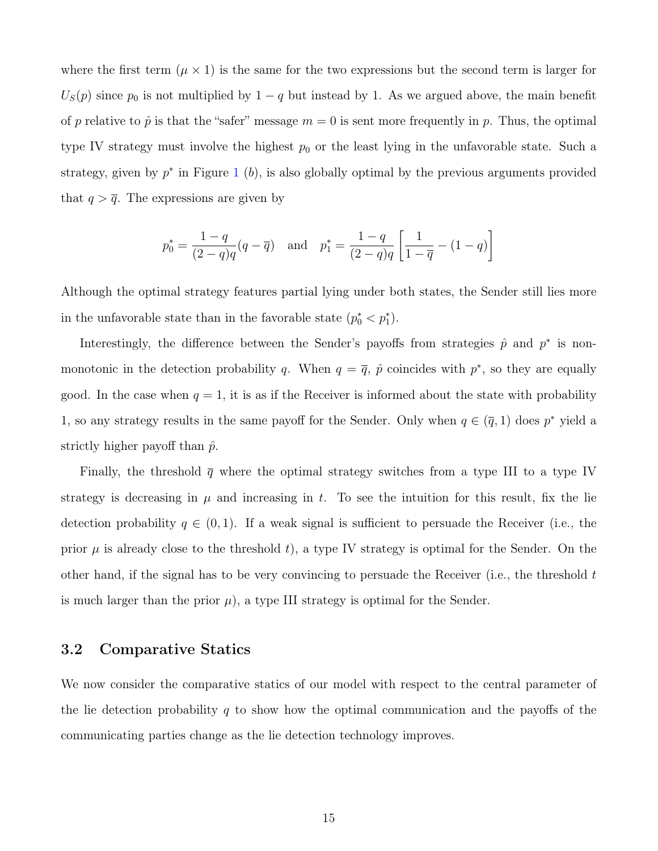where the first term  $(\mu \times 1)$  is the same for the two expressions but the second term is larger for  $U<sub>S</sub>(p)$  since  $p<sub>0</sub>$  is not multiplied by 1 – q but instead by 1. As we argued above, the main benefit of p relative to  $\hat{p}$  is that the "safer" message  $m = 0$  is sent more frequently in p. Thus, the optimal type IV strategy must involve the highest  $p_0$  or the least lying in the unfavorable state. Such a strategy, given by  $p^*$  in Figure [1](#page-11-0) (b), is also globally optimal by the previous arguments provided that  $q > \overline{q}$ . The expressions are given by

$$
p_0^* = \frac{1-q}{(2-q)q}(q-\overline{q})
$$
 and  $p_1^* = \frac{1-q}{(2-q)q} \left[ \frac{1}{1-\overline{q}} - (1-q) \right]$ 

Although the optimal strategy features partial lying under both states, the Sender still lies more in the unfavorable state than in the favorable state  $(p_0^* < p_1^*)$ .

Interestingly, the difference between the Sender's payoffs from strategies  $\hat{p}$  and  $p^*$  is nonmonotonic in the detection probability q. When  $q = \overline{q}$ ,  $\hat{p}$  coincides with  $p^*$ , so they are equally good. In the case when  $q = 1$ , it is as if the Receiver is informed about the state with probability 1, so any strategy results in the same payoff for the Sender. Only when  $q \in (\bar{q}, 1)$  does  $p^*$  yield a strictly higher payoff than  $\hat{p}$ .

Finally, the threshold  $\bar{q}$  where the optimal strategy switches from a type III to a type IV strategy is decreasing in  $\mu$  and increasing in t. To see the intuition for this result, fix the lie detection probability  $q \in (0,1)$ . If a weak signal is sufficient to persuade the Receiver (i.e., the prior  $\mu$  is already close to the threshold t), a type IV strategy is optimal for the Sender. On the other hand, if the signal has to be very convincing to persuade the Receiver (i.e., the threshold  $t$ is much larger than the prior  $\mu$ , a type III strategy is optimal for the Sender.

#### 3.2 Comparative Statics

We now consider the comparative statics of our model with respect to the central parameter of the lie detection probability q to show how the optimal communication and the payoffs of the communicating parties change as the lie detection technology improves.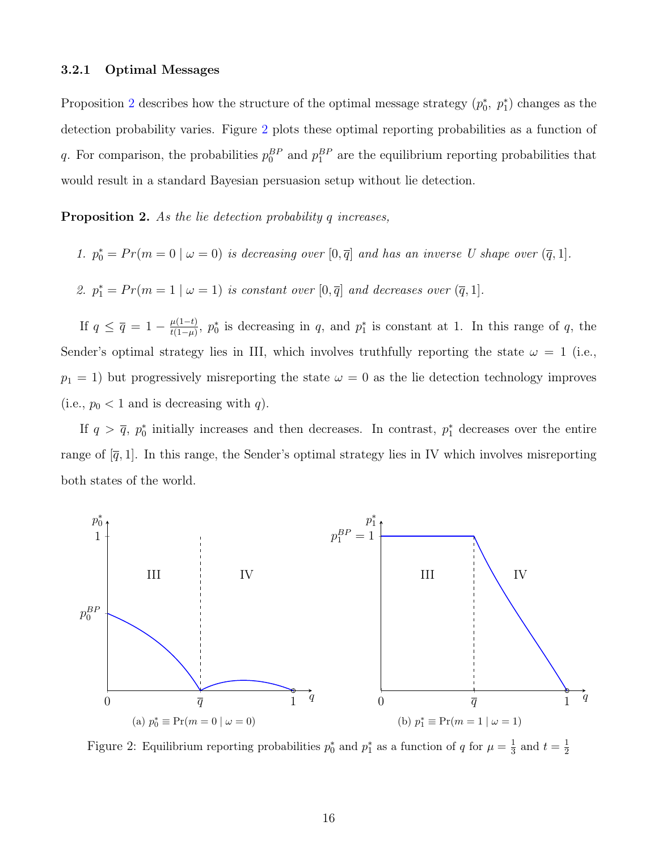#### 3.2.1 Optimal Messages

Proposition [2](#page-15-0) describes how the structure of the optimal message strategy  $(p_0^*, p_1^*)$  changes as the detection probability varies. Figure [2](#page-15-1) plots these optimal reporting probabilities as a function of q. For comparison, the probabilities  $p_0^{BP}$  and  $p_1^{BP}$  are the equilibrium reporting probabilities that would result in a standard Bayesian persuasion setup without lie detection.

<span id="page-15-0"></span>**Proposition 2.** As the lie detection probability q increases,

- 1.  $p_0^* = Pr(m = 0 \mid \omega = 0)$  is decreasing over  $[0, \overline{q}]$  and has an inverse U shape over  $(\overline{q}, 1]$ .
- 2.  $p_1^* = Pr(m = 1 \mid \omega = 1)$  is constant over  $[0, \overline{q}]$  and decreases over  $(\overline{q}, 1]$ .

If  $q \leq \overline{q} = 1 - \frac{\mu(1-t)}{t(1-\mu)}$  $\frac{\mu(1-t)}{t(1-\mu)}$ ,  $p_0^*$  is decreasing in q, and  $p_1^*$  is constant at 1. In this range of q, the Sender's optimal strategy lies in III, which involves truthfully reporting the state  $\omega = 1$  (i.e.,  $p_1 = 1$ ) but progressively misreporting the state  $\omega = 0$  as the lie detection technology improves (i.e.,  $p_0 < 1$  and is decreasing with q).

If  $q > \bar{q}$ ,  $p_0^*$  initially increases and then decreases. In contrast,  $p_1^*$  decreases over the entire range of  $[\bar{q}, 1]$ . In this range, the Sender's optimal strategy lies in IV which involves misreporting both states of the world.

<span id="page-15-1"></span>

Figure 2: Equilibrium reporting probabilities  $p_0^*$  and  $p_1^*$  as a function of q for  $\mu = \frac{1}{3}$  $\frac{1}{3}$  and  $t=\frac{1}{2}$ 2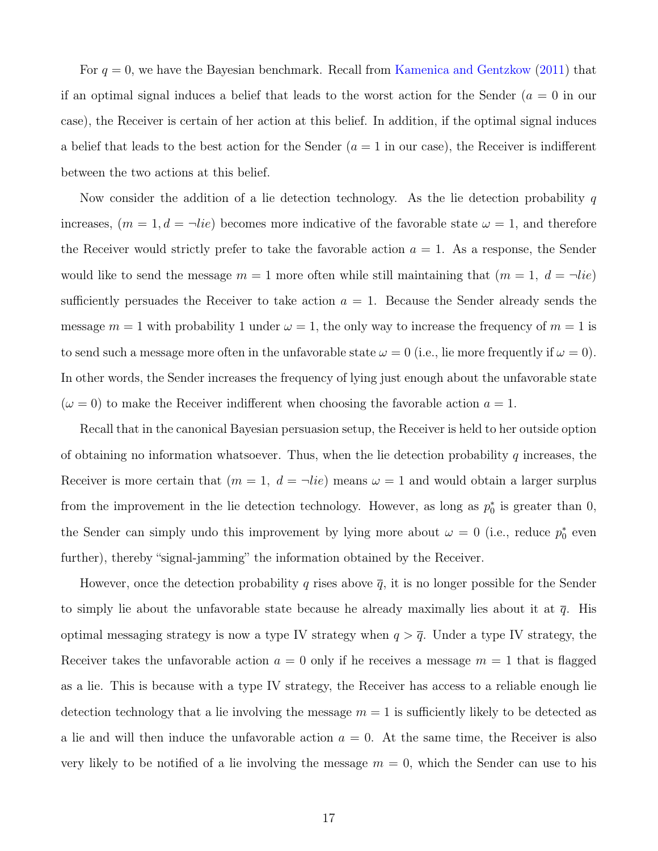For  $q = 0$ , we have the Bayesian benchmark. Recall from [Kamenica and Gentzkow](#page-31-0) [\(2011\)](#page-31-0) that if an optimal signal induces a belief that leads to the worst action for the Sender ( $a = 0$  in our case), the Receiver is certain of her action at this belief. In addition, if the optimal signal induces a belief that leads to the best action for the Sender  $(a = 1$  in our case), the Receiver is indifferent between the two actions at this belief.

Now consider the addition of a lie detection technology. As the lie detection probability  $q$ increases,  $(m = 1, d = \neg lie)$  becomes more indicative of the favorable state  $\omega = 1$ , and therefore the Receiver would strictly prefer to take the favorable action  $a = 1$ . As a response, the Sender would like to send the message  $m = 1$  more often while still maintaining that  $(m = 1, d = \neg lie)$ sufficiently persuades the Receiver to take action  $a = 1$ . Because the Sender already sends the message  $m = 1$  with probability 1 under  $\omega = 1$ , the only way to increase the frequency of  $m = 1$  is to send such a message more often in the unfavorable state  $\omega = 0$  (i.e., lie more frequently if  $\omega = 0$ ). In other words, the Sender increases the frequency of lying just enough about the unfavorable state  $(\omega = 0)$  to make the Receiver indifferent when choosing the favorable action  $a = 1$ .

Recall that in the canonical Bayesian persuasion setup, the Receiver is held to her outside option of obtaining no information whatsoever. Thus, when the lie detection probability  $q$  increases, the Receiver is more certain that  $(m = 1, d = \neg lie)$  means  $\omega = 1$  and would obtain a larger surplus from the improvement in the lie detection technology. However, as long as  $p_0^*$  is greater than 0, the Sender can simply undo this improvement by lying more about  $\omega = 0$  (i.e., reduce  $p_0^*$  even further), thereby "signal-jamming" the information obtained by the Receiver.

However, once the detection probability q rises above  $\bar{q}$ , it is no longer possible for the Sender to simply lie about the unfavorable state because he already maximally lies about it at  $\bar{q}$ . His optimal messaging strategy is now a type IV strategy when  $q > \overline{q}$ . Under a type IV strategy, the Receiver takes the unfavorable action  $a = 0$  only if he receives a message  $m = 1$  that is flagged as a lie. This is because with a type IV strategy, the Receiver has access to a reliable enough lie detection technology that a lie involving the message  $m = 1$  is sufficiently likely to be detected as a lie and will then induce the unfavorable action  $a = 0$ . At the same time, the Receiver is also very likely to be notified of a lie involving the message  $m = 0$ , which the Sender can use to his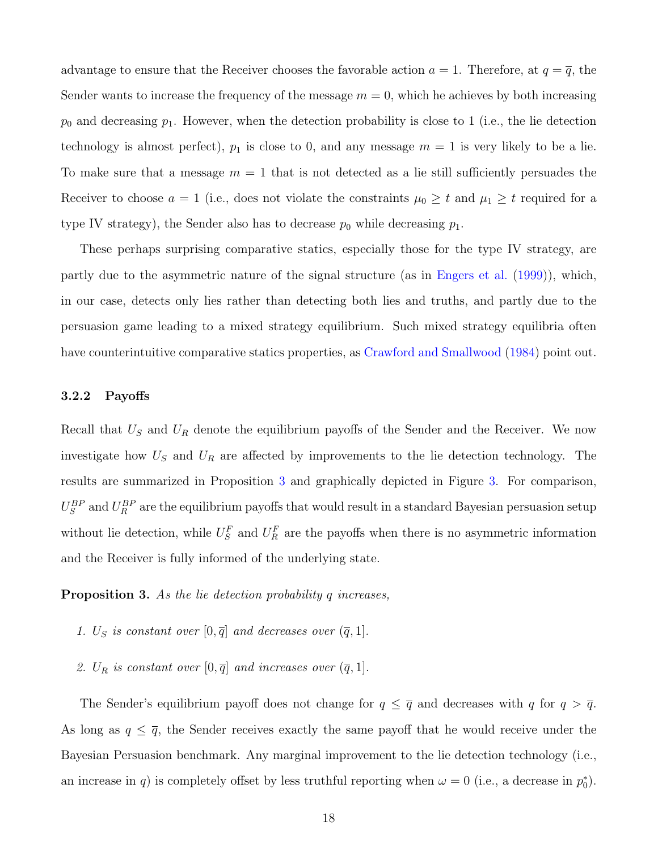advantage to ensure that the Receiver chooses the favorable action  $a = 1$ . Therefore, at  $q = \overline{q}$ , the Sender wants to increase the frequency of the message  $m = 0$ , which he achieves by both increasing  $p_0$  and decreasing  $p_1$ . However, when the detection probability is close to 1 (i.e., the lie detection technology is almost perfect),  $p_1$  is close to 0, and any message  $m = 1$  is very likely to be a lie. To make sure that a message  $m = 1$  that is not detected as a lie still sufficiently persuades the Receiver to choose  $a = 1$  (i.e., does not violate the constraints  $\mu_0 \geq t$  and  $\mu_1 \geq t$  required for a type IV strategy), the Sender also has to decrease  $p_0$  while decreasing  $p_1$ .

These perhaps surprising comparative statics, especially those for the type IV strategy, are partly due to the asymmetric nature of the signal structure (as in [Engers et al.](#page-30-13) [\(1999\)](#page-30-13)), which, in our case, detects only lies rather than detecting both lies and truths, and partly due to the persuasion game leading to a mixed strategy equilibrium. Such mixed strategy equilibria often have counterintuitive comparative statics properties, as [Crawford and Smallwood](#page-30-14) [\(1984\)](#page-30-14) point out.

#### 3.2.2 Payoffs

Recall that  $U<sub>S</sub>$  and  $U<sub>R</sub>$  denote the equilibrium payoffs of the Sender and the Receiver. We now investigate how  $U<sub>S</sub>$  and  $U<sub>R</sub>$  are affected by improvements to the lie detection technology. The results are summarized in Proposition [3](#page-17-0) and graphically depicted in Figure [3.](#page-18-1) For comparison,  $U_S^{BP}$  and  $U_R^{BP}$  are the equilibrium payoffs that would result in a standard Bayesian persuasion setup without lie detection, while  $U_S^F$  and  $U_R^F$  are the payoffs when there is no asymmetric information and the Receiver is fully informed of the underlying state.

<span id="page-17-0"></span>**Proposition 3.** As the lie detection probability q increases,

- 1.  $U_S$  is constant over  $[0, \overline{q}]$  and decreases over  $(\overline{q}, 1]$ .
- 2.  $U_R$  is constant over  $[0, \overline{q}]$  and increases over  $(\overline{q}, 1]$ .

The Sender's equilibrium payoff does not change for  $q \leq \overline{q}$  and decreases with q for  $q > \overline{q}$ . As long as  $q \leq \overline{q}$ , the Sender receives exactly the same payoff that he would receive under the Bayesian Persuasion benchmark. Any marginal improvement to the lie detection technology (i.e., an increase in q) is completely offset by less truthful reporting when  $\omega = 0$  (i.e., a decrease in  $p_0^*$ ).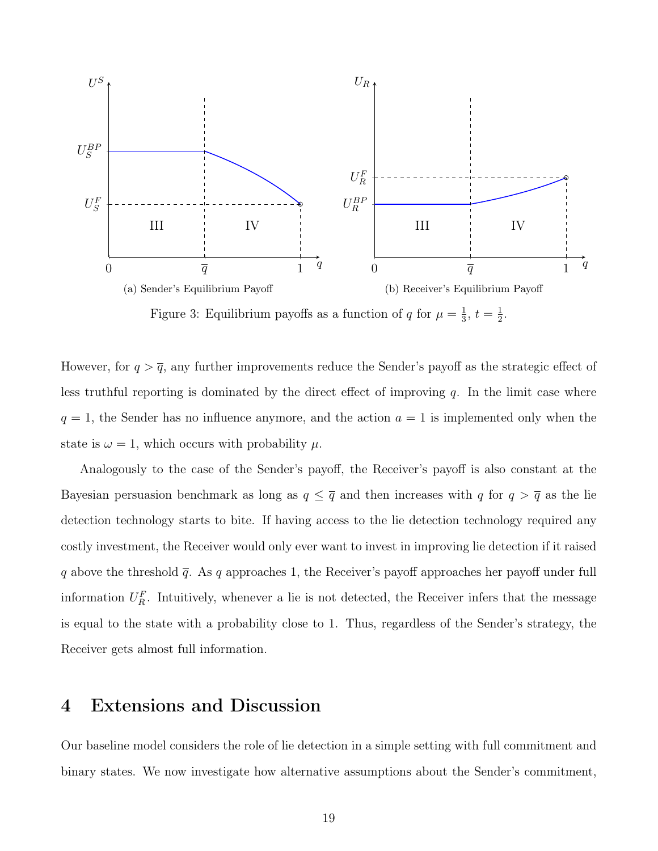<span id="page-18-1"></span>

Figure 3: Equilibrium payoffs as a function of q for  $\mu = \frac{1}{3}$  $\frac{1}{3}, t = \frac{1}{2}$  $rac{1}{2}$ .

However, for  $q > \overline{q}$ , any further improvements reduce the Sender's payoff as the strategic effect of less truthful reporting is dominated by the direct effect of improving  $q$ . In the limit case where  $q = 1$ , the Sender has no influence anymore, and the action  $a = 1$  is implemented only when the state is  $\omega = 1$ , which occurs with probability  $\mu$ .

Analogously to the case of the Sender's payoff, the Receiver's payoff is also constant at the Bayesian persuasion benchmark as long as  $q \leq \overline{q}$  and then increases with q for  $q > \overline{q}$  as the lie detection technology starts to bite. If having access to the lie detection technology required any costly investment, the Receiver would only ever want to invest in improving lie detection if it raised q above the threshold  $\bar{q}$ . As q approaches 1, the Receiver's payoff approaches her payoff under full information  $U_R^F$ . Intuitively, whenever a lie is not detected, the Receiver infers that the message is equal to the state with a probability close to 1. Thus, regardless of the Sender's strategy, the Receiver gets almost full information.

## <span id="page-18-0"></span>4 Extensions and Discussion

Our baseline model considers the role of lie detection in a simple setting with full commitment and binary states. We now investigate how alternative assumptions about the Sender's commitment,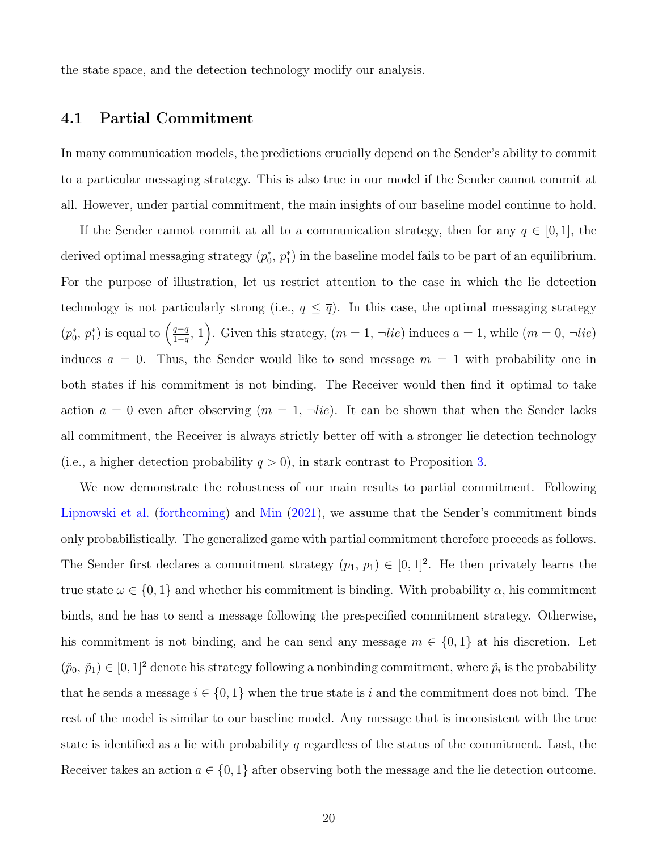the state space, and the detection technology modify our analysis.

### <span id="page-19-0"></span>4.1 Partial Commitment

In many communication models, the predictions crucially depend on the Sender's ability to commit to a particular messaging strategy. This is also true in our model if the Sender cannot commit at all. However, under partial commitment, the main insights of our baseline model continue to hold.

If the Sender cannot commit at all to a communication strategy, then for any  $q \in [0,1]$ , the derived optimal messaging strategy  $(p_0^*, p_1^*)$  in the baseline model fails to be part of an equilibrium. For the purpose of illustration, let us restrict attention to the case in which the lie detection technology is not particularly strong (i.e.,  $q \leq \overline{q}$ ). In this case, the optimal messaging strategy  $(p_0^*, p_1^*)$  is equal to  $\left(\frac{\overline{q}-q}{1-q}\right)$  $\left(\frac{\overline{q}-q}{1-q}, 1\right)$ . Given this strategy,  $(m=1, \neg lie)$  induces  $a=1$ , while  $(m=0, \neg lie)$ induces  $a = 0$ . Thus, the Sender would like to send message  $m = 1$  with probability one in both states if his commitment is not binding. The Receiver would then find it optimal to take action  $a = 0$  even after observing  $(m = 1, \neg lie)$ . It can be shown that when the Sender lacks all commitment, the Receiver is always strictly better off with a stronger lie detection technology (i.e., a higher detection probability  $q > 0$ ), in stark contrast to Proposition [3.](#page-17-0)

We now demonstrate the robustness of our main results to partial commitment. Following [Lipnowski et al.](#page-31-11) [\(forthcoming\)](#page-31-11) and [Min](#page-31-10) [\(2021\)](#page-31-10), we assume that the Sender's commitment binds only probabilistically. The generalized game with partial commitment therefore proceeds as follows. The Sender first declares a commitment strategy  $(p_1, p_1) \in [0, 1]^2$ . He then privately learns the true state  $\omega \in \{0,1\}$  and whether his commitment is binding. With probability  $\alpha$ , his commitment binds, and he has to send a message following the prespecified commitment strategy. Otherwise, his commitment is not binding, and he can send any message  $m \in \{0,1\}$  at his discretion. Let  $(\tilde{p}_0, \tilde{p}_1) \in [0, 1]^2$  denote his strategy following a nonbinding commitment, where  $\tilde{p}_i$  is the probability that he sends a message  $i \in \{0,1\}$  when the true state is i and the commitment does not bind. The rest of the model is similar to our baseline model. Any message that is inconsistent with the true state is identified as a lie with probability q regardless of the status of the commitment. Last, the Receiver takes an action  $a \in \{0,1\}$  after observing both the message and the lie detection outcome.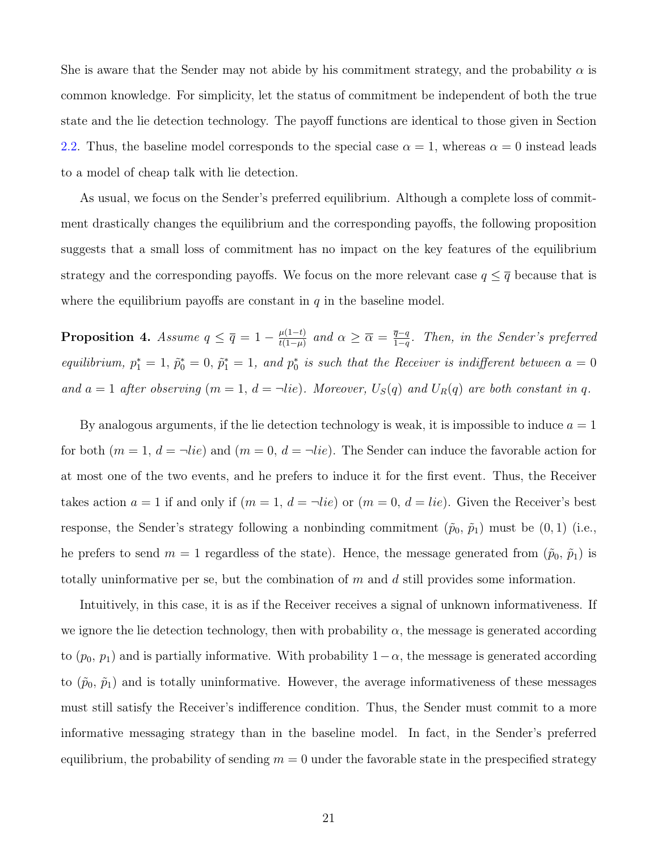She is aware that the Sender may not abide by his commitment strategy, and the probability  $\alpha$  is common knowledge. For simplicity, let the status of commitment be independent of both the true state and the lie detection technology. The payoff functions are identical to those given in Section [2.2.](#page-6-2) Thus, the baseline model corresponds to the special case  $\alpha = 1$ , whereas  $\alpha = 0$  instead leads to a model of cheap talk with lie detection.

As usual, we focus on the Sender's preferred equilibrium. Although a complete loss of commitment drastically changes the equilibrium and the corresponding payoffs, the following proposition suggests that a small loss of commitment has no impact on the key features of the equilibrium strategy and the corresponding payoffs. We focus on the more relevant case  $q \leq \overline{q}$  because that is where the equilibrium payoffs are constant in  $q$  in the baseline model.

<span id="page-20-0"></span>**Proposition 4.** Assume  $q \leq \overline{q} = 1 - \frac{\mu(1-t)}{t(1-u)}$  $\frac{\mu(1-t)}{t(1-\mu)}$  and  $\alpha \geq \overline{\alpha} = \frac{\overline{q}-q}{1-q}$  $\frac{q-q}{1-q}$ . Then, in the Sender's preferred equilibrium,  $p_1^* = 1$ ,  $\tilde{p}_0^* = 0$ ,  $\tilde{p}_1^* = 1$ , and  $p_0^*$  is such that the Receiver is indifferent between  $a = 0$ and  $a = 1$  after observing  $(m = 1, d = \neg lie)$ . Moreover,  $U_S(q)$  and  $U_R(q)$  are both constant in q.

By analogous arguments, if the lie detection technology is weak, it is impossible to induce  $a = 1$ for both  $(m = 1, d = \neg lie)$  and  $(m = 0, d = \neg lie)$ . The Sender can induce the favorable action for at most one of the two events, and he prefers to induce it for the first event. Thus, the Receiver takes action  $a = 1$  if and only if  $(m = 1, d = \neg lie)$  or  $(m = 0, d = lie)$ . Given the Receiver's best response, the Sender's strategy following a nonbinding commitment  $(\tilde{p}_0, \tilde{p}_1)$  must be  $(0, 1)$  (i.e., he prefers to send  $m = 1$  regardless of the state). Hence, the message generated from  $(\tilde{p}_0, \tilde{p}_1)$  is totally uninformative per se, but the combination of  $m$  and  $d$  still provides some information.

Intuitively, in this case, it is as if the Receiver receives a signal of unknown informativeness. If we ignore the lie detection technology, then with probability  $\alpha$ , the message is generated according to  $(p_0, p_1)$  and is partially informative. With probability  $1-\alpha$ , the message is generated according to  $(\tilde{p}_0, \tilde{p}_1)$  and is totally uninformative. However, the average informativeness of these messages must still satisfy the Receiver's indifference condition. Thus, the Sender must commit to a more informative messaging strategy than in the baseline model. In fact, in the Sender's preferred equilibrium, the probability of sending  $m = 0$  under the favorable state in the prespecified strategy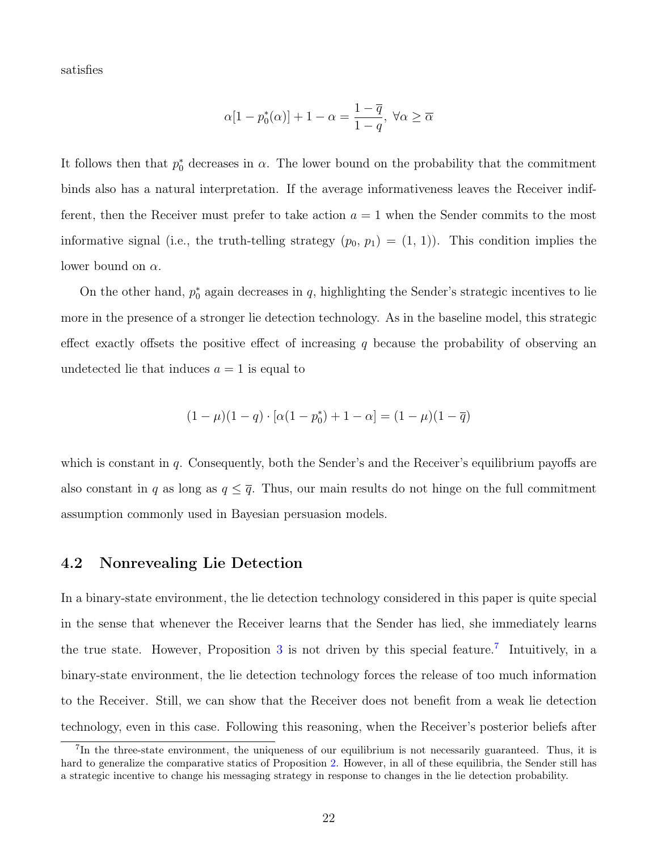satisfies

$$
\alpha[1-p_0^*(\alpha)]+1-\alpha=\frac{1-\overline{q}}{1-q},\;\forall \alpha\geq \overline{\alpha}
$$

It follows then that  $p_0^*$  decreases in  $\alpha$ . The lower bound on the probability that the commitment binds also has a natural interpretation. If the average informativeness leaves the Receiver indifferent, then the Receiver must prefer to take action  $a = 1$  when the Sender commits to the most informative signal (i.e., the truth-telling strategy  $(p_0, p_1) = (1, 1)$ ). This condition implies the lower bound on  $\alpha$ .

On the other hand,  $p_0^*$  again decreases in q, highlighting the Sender's strategic incentives to lie more in the presence of a stronger lie detection technology. As in the baseline model, this strategic effect exactly offsets the positive effect of increasing q because the probability of observing an undetected lie that induces  $a = 1$  is equal to

$$
(1 - \mu)(1 - q) \cdot [\alpha(1 - p_0^*) + 1 - \alpha] = (1 - \mu)(1 - \overline{q})
$$

which is constant in  $q$ . Consequently, both the Sender's and the Receiver's equilibrium payoffs are also constant in q as long as  $q \leq \overline{q}$ . Thus, our main results do not hinge on the full commitment assumption commonly used in Bayesian persuasion models.

#### <span id="page-21-0"></span>4.2 Nonrevealing Lie Detection

In a binary-state environment, the lie detection technology considered in this paper is quite special in the sense that whenever the Receiver learns that the Sender has lied, she immediately learns the true state. However, Proposition [3](#page-17-0) is not driven by this special feature.<sup>[7](#page-21-1)</sup> Intuitively, in a binary-state environment, the lie detection technology forces the release of too much information to the Receiver. Still, we can show that the Receiver does not benefit from a weak lie detection technology, even in this case. Following this reasoning, when the Receiver's posterior beliefs after

<span id="page-21-1"></span><sup>&</sup>lt;sup>7</sup>In the three-state environment, the uniqueness of our equilibrium is not necessarily guaranteed. Thus, it is hard to generalize the comparative statics of Proposition [2.](#page-15-0) However, in all of these equilibria, the Sender still has a strategic incentive to change his messaging strategy in response to changes in the lie detection probability.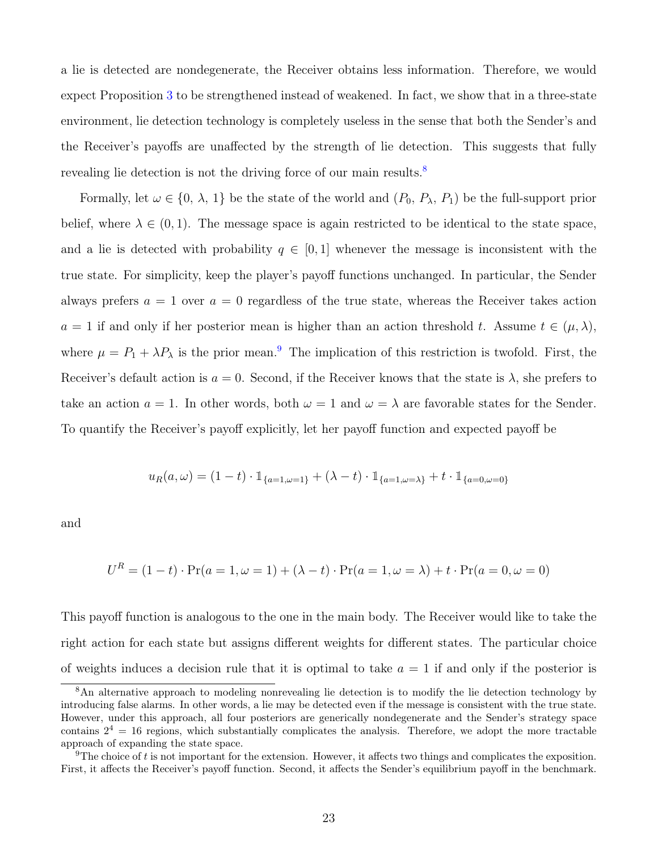a lie is detected are nondegenerate, the Receiver obtains less information. Therefore, we would expect Proposition [3](#page-17-0) to be strengthened instead of weakened. In fact, we show that in a three-state environment, lie detection technology is completely useless in the sense that both the Sender's and the Receiver's payoffs are unaffected by the strength of lie detection. This suggests that fully revealing lie detection is not the driving force of our main results.<sup>[8](#page-22-0)</sup>

Formally, let  $\omega \in \{0, \lambda, 1\}$  be the state of the world and  $(P_0, P_\lambda, P_1)$  be the full-support prior belief, where  $\lambda \in (0,1)$ . The message space is again restricted to be identical to the state space, and a lie is detected with probability  $q \in [0,1]$  whenever the message is inconsistent with the true state. For simplicity, keep the player's payoff functions unchanged. In particular, the Sender always prefers  $a = 1$  over  $a = 0$  regardless of the true state, whereas the Receiver takes action  $a = 1$  if and only if her posterior mean is higher than an action threshold t. Assume  $t \in (\mu, \lambda)$ , where  $\mu = P_1 + \lambda P_\lambda$  is the prior mean.<sup>[9](#page-22-1)</sup> The implication of this restriction is twofold. First, the Receiver's default action is  $a = 0$ . Second, if the Receiver knows that the state is  $\lambda$ , she prefers to take an action  $a = 1$ . In other words, both  $\omega = 1$  and  $\omega = \lambda$  are favorable states for the Sender. To quantify the Receiver's payoff explicitly, let her payoff function and expected payoff be

$$
u_R(a,\omega) = (1-t) \cdot \mathbbm{1}_{\{a=1,\omega=1\}} + (\lambda - t) \cdot \mathbbm{1}_{\{a=1,\omega=\lambda\}} + t \cdot \mathbbm{1}_{\{a=0,\omega=0\}}
$$

and

$$
U^{R} = (1 - t) \cdot \Pr(a = 1, \omega = 1) + (\lambda - t) \cdot \Pr(a = 1, \omega = \lambda) + t \cdot \Pr(a = 0, \omega = 0)
$$

This payoff function is analogous to the one in the main body. The Receiver would like to take the right action for each state but assigns different weights for different states. The particular choice of weights induces a decision rule that it is optimal to take  $a = 1$  if and only if the posterior is

<span id="page-22-0"></span><sup>&</sup>lt;sup>8</sup>An alternative approach to modeling nonrevealing lie detection is to modify the lie detection technology by introducing false alarms. In other words, a lie may be detected even if the message is consistent with the true state. However, under this approach, all four posteriors are generically nondegenerate and the Sender's strategy space contains  $2^4 = 16$  regions, which substantially complicates the analysis. Therefore, we adopt the more tractable approach of expanding the state space.

<span id="page-22-1"></span><sup>&</sup>lt;sup>9</sup>The choice of t is not important for the extension. However, it affects two things and complicates the exposition. First, it affects the Receiver's payoff function. Second, it affects the Sender's equilibrium payoff in the benchmark.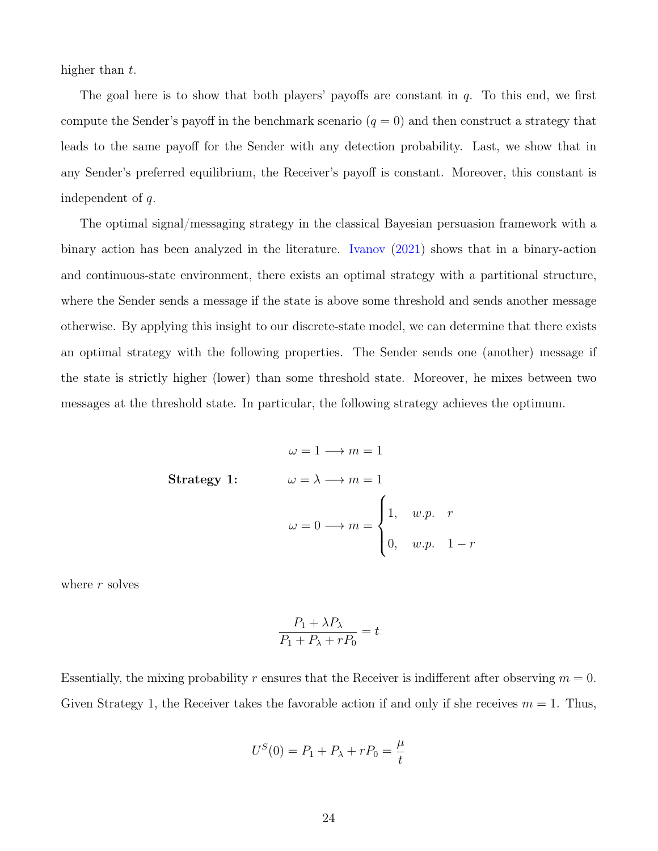higher than t.

The goal here is to show that both players' payoffs are constant in  $q$ . To this end, we first compute the Sender's payoff in the benchmark scenario  $(q = 0)$  and then construct a strategy that leads to the same payoff for the Sender with any detection probability. Last, we show that in any Sender's preferred equilibrium, the Receiver's payoff is constant. Moreover, this constant is independent of q.

The optimal signal/messaging strategy in the classical Bayesian persuasion framework with a binary action has been analyzed in the literature. [Ivanov](#page-30-15) [\(2021\)](#page-30-15) shows that in a binary-action and continuous-state environment, there exists an optimal strategy with a partitional structure, where the Sender sends a message if the state is above some threshold and sends another message otherwise. By applying this insight to our discrete-state model, we can determine that there exists an optimal strategy with the following properties. The Sender sends one (another) message if the state is strictly higher (lower) than some threshold state. Moreover, he mixes between two messages at the threshold state. In particular, the following strategy achieves the optimum.

$$
\omega = 1 \longrightarrow m = 1
$$
  
Strategy 1: 
$$
\omega = \lambda \longrightarrow m = 1
$$

$$
\omega = 0 \longrightarrow m = \begin{cases} 1, & w.p. \ r \\ 0, & w.p. \ 1-r \end{cases}
$$

where  $r$  solves

$$
\frac{P_1 + \lambda P_\lambda}{P_1 + P_\lambda + rP_0} = t
$$

Essentially, the mixing probability r ensures that the Receiver is indifferent after observing  $m = 0$ . Given Strategy 1, the Receiver takes the favorable action if and only if she receives  $m = 1$ . Thus,

$$
U^{S}(0) = P_1 + P_{\lambda} + rP_0 = \frac{\mu}{t}
$$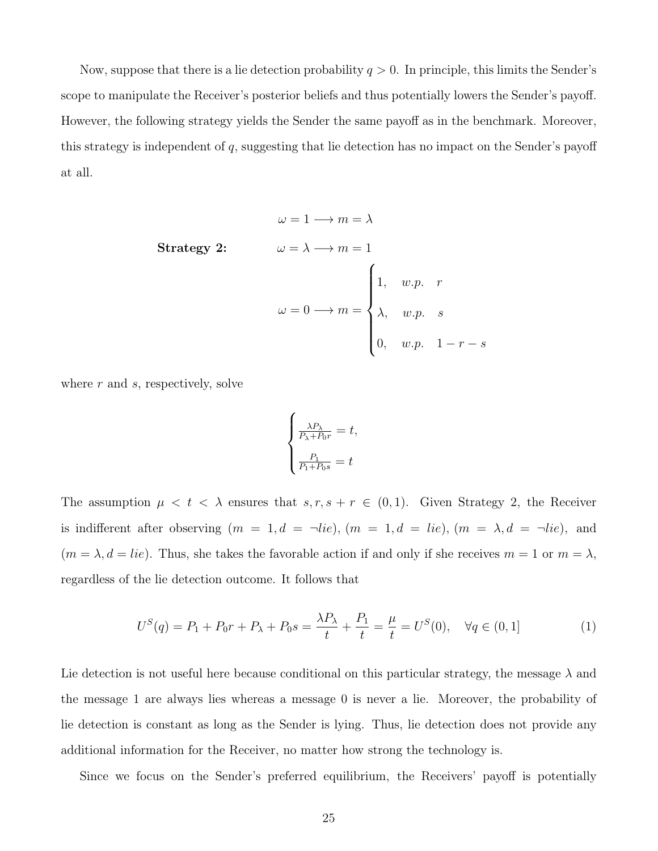Now, suppose that there is a lie detection probability  $q > 0$ . In principle, this limits the Sender's scope to manipulate the Receiver's posterior beliefs and thus potentially lowers the Sender's payoff. However, the following strategy yields the Sender the same payoff as in the benchmark. Moreover, this strategy is independent of q, suggesting that lie detection has no impact on the Sender's payoff at all.

$$
\omega = 1 \longrightarrow m = \lambda
$$
  
Strategy 2:  

$$
\omega = \lambda \longrightarrow m = 1
$$
  

$$
\omega = 0 \longrightarrow m = \begin{cases} 1, & w.p. \space r \\ \lambda, & w.p. \space s \\ 0, & w.p. \space 1-r-s \end{cases}
$$

where  $r$  and  $s$ , respectively, solve

<span id="page-24-0"></span>
$$
\begin{cases} \frac{\lambda P_{\lambda}}{P_{\lambda} + P_{0}r} = t, \\ \frac{P_{1}}{P_{1} + P_{0}s} = t \end{cases}
$$

The assumption  $\mu < t < \lambda$  ensures that  $s, r, s + r \in (0, 1)$ . Given Strategy 2, the Receiver is indifferent after observing  $(m = 1, d = \neg lie)$ ,  $(m = 1, d = lie)$ ,  $(m = \lambda, d = \neg lie)$ , and  $(m = \lambda, d = lie)$ . Thus, she takes the favorable action if and only if she receives  $m = 1$  or  $m = \lambda$ , regardless of the lie detection outcome. It follows that

$$
U^{S}(q) = P_{1} + P_{0}r + P_{\lambda} + P_{0}s = \frac{\lambda P_{\lambda}}{t} + \frac{P_{1}}{t} = \frac{\mu}{t} = U^{S}(0), \quad \forall q \in (0, 1]
$$
 (1)

Lie detection is not useful here because conditional on this particular strategy, the message  $\lambda$  and the message 1 are always lies whereas a message 0 is never a lie. Moreover, the probability of lie detection is constant as long as the Sender is lying. Thus, lie detection does not provide any additional information for the Receiver, no matter how strong the technology is.

Since we focus on the Sender's preferred equilibrium, the Receivers' payoff is potentially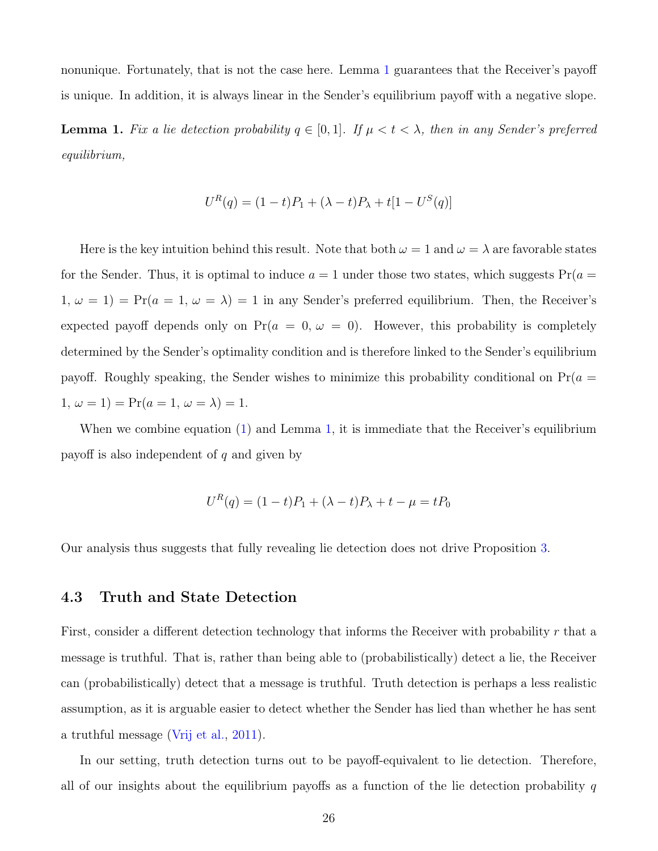nonunique. Fortunately, that is not the case here. Lemma [1](#page-25-0) guarantees that the Receiver's payoff is unique. In addition, it is always linear in the Sender's equilibrium payoff with a negative slope.

<span id="page-25-0"></span>**Lemma 1.** Fix a lie detection probability  $q \in [0,1]$ . If  $\mu < t < \lambda$ , then in any Sender's preferred equilibrium,

$$
U^{R}(q) = (1-t)P_1 + (\lambda - t)P_{\lambda} + t[1 - U^{S}(q)]
$$

Here is the key intuition behind this result. Note that both  $\omega = 1$  and  $\omega = \lambda$  are favorable states for the Sender. Thus, it is optimal to induce  $a = 1$  under those two states, which suggests  $Pr(a = 1)$  $1, \omega = 1$  = Pr( $a = 1, \omega = \lambda$ ) = 1 in any Sender's preferred equilibrium. Then, the Receiver's expected payoff depends only on  $Pr(a = 0, \omega = 0)$ . However, this probability is completely determined by the Sender's optimality condition and is therefore linked to the Sender's equilibrium payoff. Roughly speaking, the Sender wishes to minimize this probability conditional on  $Pr(a =$ 1,  $\omega = 1$ ) = Pr( $a = 1, \omega = \lambda$ ) = 1.

When we combine equation [\(1\)](#page-24-0) and Lemma [1,](#page-25-0) it is immediate that the Receiver's equilibrium payoff is also independent of  $q$  and given by

$$
U^{R}(q) = (1-t)P_1 + (\lambda - t)P_{\lambda} + t - \mu = tP_0
$$

Our analysis thus suggests that fully revealing lie detection does not drive Proposition [3.](#page-17-0)

### 4.3 Truth and State Detection

First, consider a different detection technology that informs the Receiver with probability  $r$  that a message is truthful. That is, rather than being able to (probabilistically) detect a lie, the Receiver can (probabilistically) detect that a message is truthful. Truth detection is perhaps a less realistic assumption, as it is arguable easier to detect whether the Sender has lied than whether he has sent a truthful message [\(Vrij et al.,](#page-31-14) [2011\)](#page-31-14).

In our setting, truth detection turns out to be payoff-equivalent to lie detection. Therefore, all of our insights about the equilibrium payoffs as a function of the lie detection probability  $q$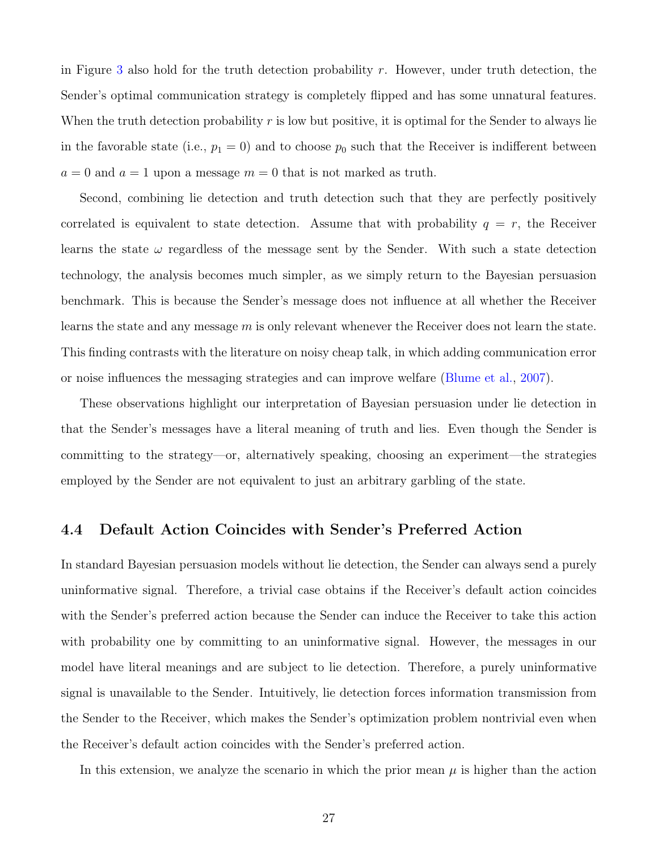in Figure [3](#page-18-1) also hold for the truth detection probability  $r$ . However, under truth detection, the Sender's optimal communication strategy is completely flipped and has some unnatural features. When the truth detection probability  $r$  is low but positive, it is optimal for the Sender to always lie in the favorable state (i.e.,  $p_1 = 0$ ) and to choose  $p_0$  such that the Receiver is indifferent between  $a = 0$  and  $a = 1$  upon a message  $m = 0$  that is not marked as truth.

Second, combining lie detection and truth detection such that they are perfectly positively correlated is equivalent to state detection. Assume that with probability  $q = r$ , the Receiver learns the state  $\omega$  regardless of the message sent by the Sender. With such a state detection technology, the analysis becomes much simpler, as we simply return to the Bayesian persuasion benchmark. This is because the Sender's message does not influence at all whether the Receiver learns the state and any message  $m$  is only relevant whenever the Receiver does not learn the state. This finding contrasts with the literature on noisy cheap talk, in which adding communication error or noise influences the messaging strategies and can improve welfare [\(Blume et al.,](#page-30-16) [2007\)](#page-30-16).

These observations highlight our interpretation of Bayesian persuasion under lie detection in that the Sender's messages have a literal meaning of truth and lies. Even though the Sender is committing to the strategy—or, alternatively speaking, choosing an experiment—the strategies employed by the Sender are not equivalent to just an arbitrary garbling of the state.

#### <span id="page-26-0"></span>4.4 Default Action Coincides with Sender's Preferred Action

In standard Bayesian persuasion models without lie detection, the Sender can always send a purely uninformative signal. Therefore, a trivial case obtains if the Receiver's default action coincides with the Sender's preferred action because the Sender can induce the Receiver to take this action with probability one by committing to an uninformative signal. However, the messages in our model have literal meanings and are subject to lie detection. Therefore, a purely uninformative signal is unavailable to the Sender. Intuitively, lie detection forces information transmission from the Sender to the Receiver, which makes the Sender's optimization problem nontrivial even when the Receiver's default action coincides with the Sender's preferred action.

In this extension, we analyze the scenario in which the prior mean  $\mu$  is higher than the action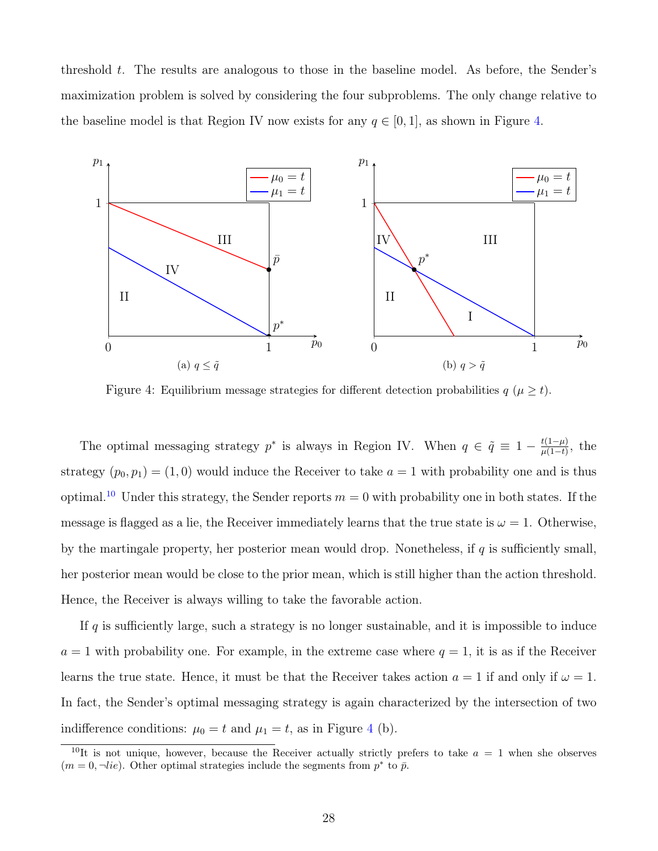threshold t. The results are analogous to those in the baseline model. As before, the Sender's maximization problem is solved by considering the four subproblems. The only change relative to the baseline model is that Region IV now exists for any  $q \in [0, 1]$ , as shown in Figure [4.](#page-27-0)

<span id="page-27-0"></span>

Figure 4: Equilibrium message strategies for different detection probabilities  $q \ (\mu \geq t)$ .

The optimal messaging strategy  $p^*$  is always in Region IV. When  $q \in \tilde{q} \equiv 1 - \frac{t(1-\mu)}{\mu(1-t)}$  $\frac{t(1-\mu)}{\mu(1-t)}$ , the strategy  $(p_0, p_1) = (1, 0)$  would induce the Receiver to take  $a = 1$  with probability one and is thus optimal.<sup>[10](#page-27-1)</sup> Under this strategy, the Sender reports  $m = 0$  with probability one in both states. If the message is flagged as a lie, the Receiver immediately learns that the true state is  $\omega = 1$ . Otherwise, by the martingale property, her posterior mean would drop. Nonetheless, if  $q$  is sufficiently small, her posterior mean would be close to the prior mean, which is still higher than the action threshold. Hence, the Receiver is always willing to take the favorable action.

If  $q$  is sufficiently large, such a strategy is no longer sustainable, and it is impossible to induce  $a = 1$  with probability one. For example, in the extreme case where  $q = 1$ , it is as if the Receiver learns the true state. Hence, it must be that the Receiver takes action  $a = 1$  if and only if  $\omega = 1$ . In fact, the Sender's optimal messaging strategy is again characterized by the intersection of two indifference conditions:  $\mu_0 = t$  and  $\mu_1 = t$ , as in Figure [4](#page-27-0) (b).

<span id="page-27-1"></span><sup>&</sup>lt;sup>10</sup>It is not unique, however, because the Receiver actually strictly prefers to take  $a = 1$  when she observes  $(m = 0, \neg lie)$ . Other optimal strategies include the segments from  $p^*$  to  $\bar{p}$ .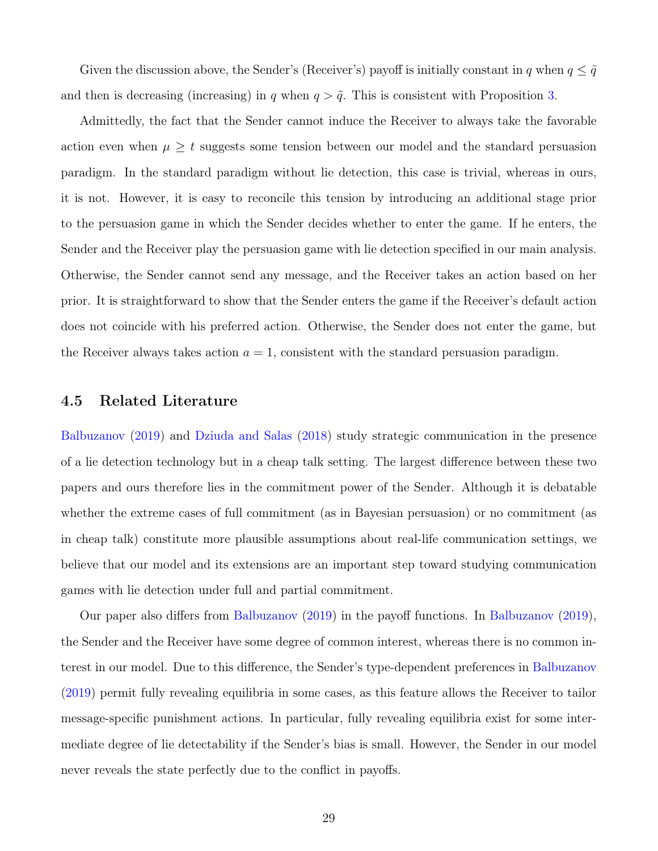Given the discussion above, the Sender's (Receiver's) payoff is initially constant in q when  $q \leq \tilde{q}$ and then is decreasing (increasing) in q when  $q > \tilde{q}$ . This is consistent with Proposition [3.](#page-17-0)

Admittedly, the fact that the Sender cannot induce the Receiver to always take the favorable action even when  $\mu \geq t$  suggests some tension between our model and the standard persuasion paradigm. In the standard paradigm without lie detection, this case is trivial, whereas in ours, it is not. However, it is easy to reconcile this tension by introducing an additional stage prior to the persuasion game in which the Sender decides whether to enter the game. If he enters, the Sender and the Receiver play the persuasion game with lie detection specified in our main analysis. Otherwise, the Sender cannot send any message, and the Receiver takes an action based on her prior. It is straightforward to show that the Sender enters the game if the Receiver's default action does not coincide with his preferred action. Otherwise, the Sender does not enter the game, but the Receiver always takes action  $a = 1$ , consistent with the standard persuasion paradigm.

#### 4.5 Related Literature

[Balbuzanov](#page-30-3) [\(2019\)](#page-30-3) and [Dziuda and Salas](#page-30-4) [\(2018\)](#page-30-4) study strategic communication in the presence of a lie detection technology but in a cheap talk setting. The largest difference between these two papers and ours therefore lies in the commitment power of the Sender. Although it is debatable whether the extreme cases of full commitment (as in Bayesian persuasion) or no commitment (as in cheap talk) constitute more plausible assumptions about real-life communication settings, we believe that our model and its extensions are an important step toward studying communication games with lie detection under full and partial commitment.

Our paper also differs from [Balbuzanov](#page-30-3) [\(2019\)](#page-30-3) in the payoff functions. In [Balbuzanov](#page-30-3) [\(2019\)](#page-30-3), the Sender and the Receiver have some degree of common interest, whereas there is no common interest in our model. Due to this difference, the Sender's type-dependent preferences in [Balbuzanov](#page-30-3) [\(2019\)](#page-30-3) permit fully revealing equilibria in some cases, as this feature allows the Receiver to tailor message-specific punishment actions. In particular, fully revealing equilibria exist for some intermediate degree of lie detectability if the Sender's bias is small. However, the Sender in our model never reveals the state perfectly due to the conflict in payoffs.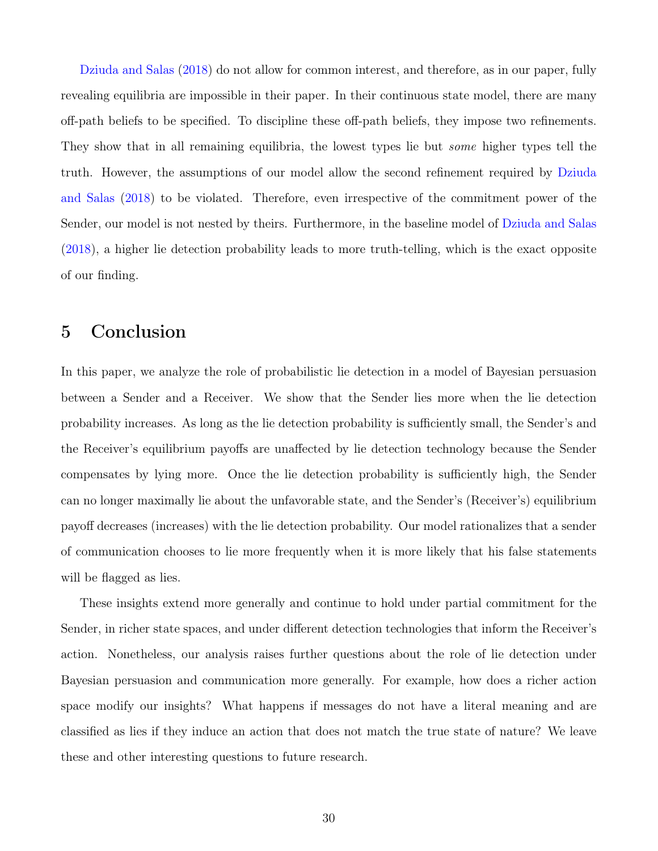[Dziuda and Salas](#page-30-4) [\(2018\)](#page-30-4) do not allow for common interest, and therefore, as in our paper, fully revealing equilibria are impossible in their paper. In their continuous state model, there are many off-path beliefs to be specified. To discipline these off-path beliefs, they impose two refinements. They show that in all remaining equilibria, the lowest types lie but *some* higher types tell the truth. However, the assumptions of our model allow the second refinement required by [Dziuda](#page-30-4) [and Salas](#page-30-4) [\(2018\)](#page-30-4) to be violated. Therefore, even irrespective of the commitment power of the Sender, our model is not nested by theirs. Furthermore, in the baseline model of [Dziuda and Salas](#page-30-4) [\(2018\)](#page-30-4), a higher lie detection probability leads to more truth-telling, which is the exact opposite of our finding.

### 5 Conclusion

In this paper, we analyze the role of probabilistic lie detection in a model of Bayesian persuasion between a Sender and a Receiver. We show that the Sender lies more when the lie detection probability increases. As long as the lie detection probability is sufficiently small, the Sender's and the Receiver's equilibrium payoffs are unaffected by lie detection technology because the Sender compensates by lying more. Once the lie detection probability is sufficiently high, the Sender can no longer maximally lie about the unfavorable state, and the Sender's (Receiver's) equilibrium payoff decreases (increases) with the lie detection probability. Our model rationalizes that a sender of communication chooses to lie more frequently when it is more likely that his false statements will be flagged as lies.

These insights extend more generally and continue to hold under partial commitment for the Sender, in richer state spaces, and under different detection technologies that inform the Receiver's action. Nonetheless, our analysis raises further questions about the role of lie detection under Bayesian persuasion and communication more generally. For example, how does a richer action space modify our insights? What happens if messages do not have a literal meaning and are classified as lies if they induce an action that does not match the true state of nature? We leave these and other interesting questions to future research.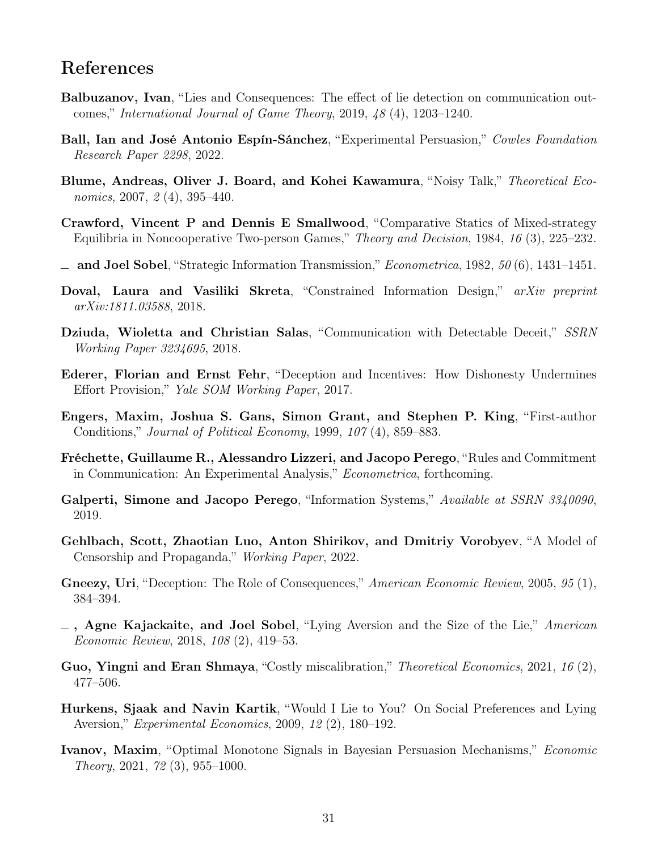## References

- <span id="page-30-3"></span>Balbuzanov, Ivan, "Lies and Consequences: The effect of lie detection on communication outcomes," International Journal of Game Theory, 2019, 48 (4), 1203–1240.
- <span id="page-30-2"></span>Ball, Ian and José Antonio Espín-Sánchez, "Experimental Persuasion," Cowles Foundation Research Paper 2298, 2022.
- <span id="page-30-16"></span>Blume, Andreas, Oliver J. Board, and Kohei Kawamura, "Noisy Talk," Theoretical Economics, 2007, 2(4), 395-440.
- <span id="page-30-14"></span>Crawford, Vincent P and Dennis E Smallwood, "Comparative Statics of Mixed-strategy Equilibria in Noncooperative Two-person Games," Theory and Decision, 1984, 16 (3), 225–232.
- <span id="page-30-5"></span> $\equiv$  and Joel Sobel, "Strategic Information Transmission," *Econometrica*, 1982, 50 (6), 1431–1451.
- <span id="page-30-0"></span>Doval, Laura and Vasiliki Skreta, "Constrained Information Design," arXiv preprint arXiv:1811.03588, 2018.
- <span id="page-30-4"></span>Dziuda, Wioletta and Christian Salas, "Communication with Detectable Deceit," SSRN Working Paper 3234695, 2018.
- <span id="page-30-10"></span>Ederer, Florian and Ernst Fehr, "Deception and Incentives: How Dishonesty Undermines Effort Provision," Yale SOM Working Paper, 2017.
- <span id="page-30-13"></span>Engers, Maxim, Joshua S. Gans, Simon Grant, and Stephen P. King, "First-author Conditions," Journal of Political Economy, 1999, 107 (4), 859–883.
- <span id="page-30-12"></span>Fréchette, Guillaume R., Alessandro Lizzeri, and Jacopo Perego, "Rules and Commitment in Communication: An Experimental Analysis," Econometrica, forthcoming.
- <span id="page-30-1"></span>Galperti, Simone and Jacopo Perego, "Information Systems," Available at SSRN 3340090, 2019.
- <span id="page-30-7"></span>Gehlbach, Scott, Zhaotian Luo, Anton Shirikov, and Dmitriy Vorobyev, "A Model of Censorship and Propaganda," Working Paper, 2022.
- <span id="page-30-8"></span>Gneezy, Uri, "Deception: The Role of Consequences," American Economic Review, 2005, 95 (1), 384–394.
- <span id="page-30-11"></span> $\overline{\phantom{a}}$ , Agne Kajackaite, and Joel Sobel, "Lying Aversion and the Size of the Lie," American Economic Review, 2018, 108 (2), 419–53.
- <span id="page-30-6"></span>Guo, Yingni and Eran Shmaya, "Costly miscalibration," Theoretical Economics, 2021, 16 (2), 477–506.
- <span id="page-30-9"></span>Hurkens, Sjaak and Navin Kartik, "Would I Lie to You? On Social Preferences and Lying Aversion," Experimental Economics, 2009, 12 (2), 180–192.
- <span id="page-30-15"></span>Ivanov, Maxim, "Optimal Monotone Signals in Bayesian Persuasion Mechanisms," Economic Theory, 2021, 72 (3), 955–1000.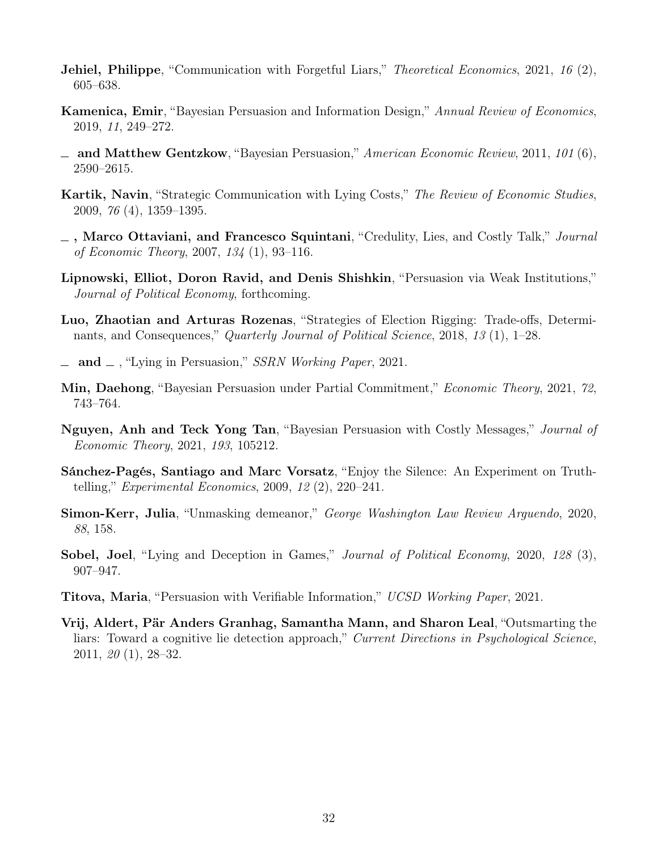- <span id="page-31-3"></span>**Jehiel, Philippe**, "Communication with Forgetful Liars," *Theoretical Economics*, 2021, 16 (2), 605–638.
- <span id="page-31-1"></span>Kamenica, Emir, "Bayesian Persuasion and Information Design," Annual Review of Economics, 2019, 11, 249–272.
- <span id="page-31-0"></span> $\Delta$  and Matthew Gentzkow, "Bayesian Persuasion," American Economic Review, 2011, 101 (6), 2590–2615.
- <span id="page-31-5"></span>Kartik, Navin, "Strategic Communication with Lying Costs," The Review of Economic Studies, 2009, 76 (4), 1359–1395.
- <span id="page-31-4"></span> $\Box$ , Marco Ottaviani, and Francesco Squintani, "Credulity, Lies, and Costly Talk," *Journal* of Economic Theory, 2007, 134 (1), 93–116.
- <span id="page-31-11"></span>Lipnowski, Elliot, Doron Ravid, and Denis Shishkin, "Persuasion via Weak Institutions," Journal of Political Economy, forthcoming.
- <span id="page-31-7"></span>Luo, Zhaotian and Arturas Rozenas, "Strategies of Election Rigging: Trade-offs, Determinants, and Consequences," Quarterly Journal of Political Science, 2018, 13 (1), 1–28.
- <span id="page-31-8"></span> $\equiv$  and  $\equiv$ , "Lying in Persuasion," SSRN Working Paper, 2021.
- <span id="page-31-10"></span>Min, Daehong, "Bayesian Persuasion under Partial Commitment," Economic Theory, 2021, 72, 743–764.
- <span id="page-31-12"></span>Nguyen, Anh and Teck Yong Tan, "Bayesian Persuasion with Costly Messages," Journal of Economic Theory, 2021, 193, 105212.
- <span id="page-31-9"></span>Sánchez-Pagés, Santiago and Marc Vorsatz, "Enjoy the Silence: An Experiment on Truthtelling," Experimental Economics, 2009, 12 (2), 220–241.
- <span id="page-31-2"></span>Simon-Kerr, Julia, "Unmasking demeanor," George Washington Law Review Arguendo, 2020, 88, 158.
- <span id="page-31-6"></span>Sobel, Joel, "Lying and Deception in Games," *Journal of Political Economy*, 2020, 128 (3), 907–947.
- <span id="page-31-13"></span>Titova, Maria, "Persuasion with Verifiable Information," UCSD Working Paper, 2021.
- <span id="page-31-14"></span>Vrij, Aldert, Pär Anders Granhag, Samantha Mann, and Sharon Leal, "Outsmarting the liars: Toward a cognitive lie detection approach," Current Directions in Psychological Science, 2011, 20 (1), 28–32.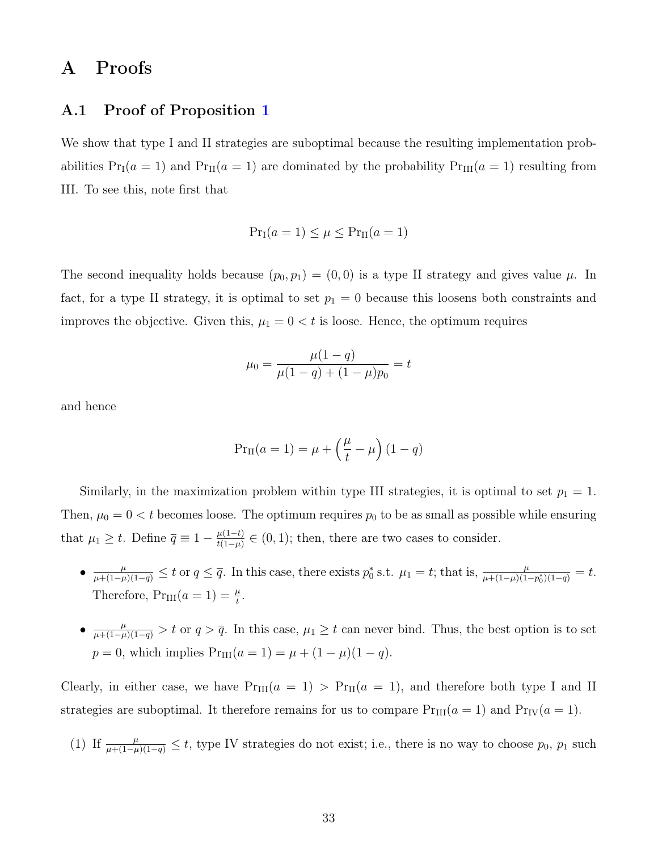## <span id="page-32-0"></span>A Proofs

### A.1 Proof of Proposition [1](#page-10-1)

We show that type I and II strategies are suboptimal because the resulting implementation probabilities  $Pr_I(a = 1)$  and  $Pr_{II}(a = 1)$  are dominated by the probability  $Pr_{III}(a = 1)$  resulting from III. To see this, note first that

$$
Pr_I(a=1) \le \mu \le Pr_{II}(a=1)
$$

The second inequality holds because  $(p_0, p_1) = (0, 0)$  is a type II strategy and gives value  $\mu$ . In fact, for a type II strategy, it is optimal to set  $p_1 = 0$  because this loosens both constraints and improves the objective. Given this,  $\mu_1 = 0 < t$  is loose. Hence, the optimum requires

$$
\mu_0 = \frac{\mu(1-q)}{\mu(1-q) + (1-\mu)p_0} = t
$$

and hence

$$
Pr_{II}(a = 1) = \mu + \left(\frac{\mu}{t} - \mu\right)(1 - q)
$$

Similarly, in the maximization problem within type III strategies, it is optimal to set  $p_1 = 1$ . Then,  $\mu_0 = 0 < t$  becomes loose. The optimum requires  $p_0$  to be as small as possible while ensuring that  $\mu_1 \geq t$ . Define  $\overline{q} \equiv 1 - \frac{\mu(1-t)}{t(1-u)}$  $\frac{\mu(1-t)}{t(1-\mu)} \in (0,1)$ ; then, there are two cases to consider.

- $\frac{\mu}{\mu+(1-\mu)(1-q)} \leq t$  or  $q \leq \overline{q}$ . In this case, there exists  $p_0^*$  s.t.  $\mu_1 = t$ ; that is,  $\frac{\mu}{\mu+(1-\mu)(1-p_0^*)(1-q)} = t$ . Therefore,  $Pr_{III}(a=1) = \frac{\mu}{t}$ .
- $\bullet$   $\frac{\mu}{\mu+(1-\mu)(1-q)} > t$  or  $q > \overline{q}$ . In this case,  $\mu_1 \geq t$  can never bind. Thus, the best option is to set  $p = 0$ , which implies  $Pr_{III}(a = 1) = \mu + (1 - \mu)(1 - q)$ .

Clearly, in either case, we have  $Pr_{III}(a = 1) > Pr_{II}(a = 1)$ , and therefore both type I and II strategies are suboptimal. It therefore remains for us to compare  $Pr_{III}(a = 1)$  and  $Pr_{IV}(a = 1)$ .

(1) If 
$$
\frac{\mu}{\mu + (1-\mu)(1-q)} \leq t
$$
, type IV strategies do not exist; i.e., there is no way to choose  $p_0$ ,  $p_1$  such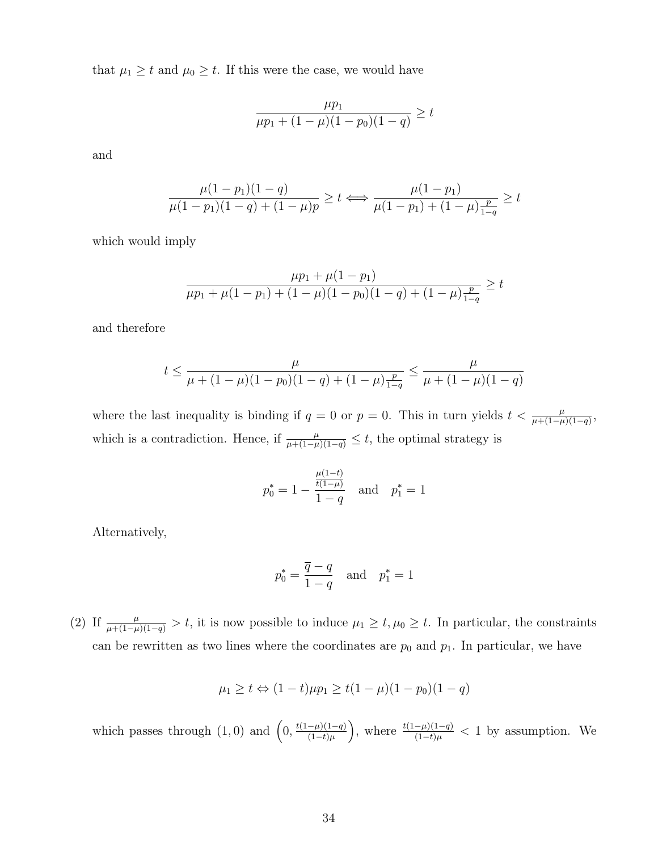that  $\mu_1 \geq t$  and  $\mu_0 \geq t$ . If this were the case, we would have

$$
\frac{\mu p_1}{\mu p_1 + (1 - \mu)(1 - p_0)(1 - q)} \ge t
$$

and

$$
\frac{\mu(1-p_1)(1-q)}{\mu(1-p_1)(1-q) + (1-\mu)p} \ge t \Longleftrightarrow \frac{\mu(1-p_1)}{\mu(1-p_1) + (1-\mu)\frac{p}{1-q}} \ge t
$$

which would imply

$$
\frac{\mu p_1 + \mu (1 - p_1)}{\mu p_1 + \mu (1 - p_1) + (1 - \mu)(1 - p_0)(1 - q) + (1 - \mu)\frac{p}{1 - q}} \ge t
$$

and therefore

$$
t \le \frac{\mu}{\mu + (1 - \mu)(1 - p_0)(1 - q) + (1 - \mu)\frac{p}{1 - q}} \le \frac{\mu}{\mu + (1 - \mu)(1 - q)}
$$

where the last inequality is binding if  $q = 0$  or  $p = 0$ . This in turn yields  $t < \frac{\mu}{\mu + (1 - \mu)(1 - q)}$ , which is a contradiction. Hence, if  $\frac{\mu}{\mu+(1-\mu)(1-q)} \leq t$ , the optimal strategy is

$$
p_0^* = 1 - \frac{\frac{\mu(1-t)}{t(1-\mu)}}{1-q}
$$
 and  $p_1^* = 1$ 

Alternatively,

$$
p_0^* = \frac{\overline{q} - q}{1 - q} \quad \text{and} \quad p_1^* = 1
$$

(2) If  $\frac{\mu}{\mu+(1-\mu)(1-q)} > t$ , it is now possible to induce  $\mu_1 \geq t, \mu_0 \geq t$ . In particular, the constraints can be rewritten as two lines where the coordinates are  $p_0$  and  $p_1$ . In particular, we have

$$
\mu_1 \ge t \Leftrightarrow (1-t)\mu p_1 \ge t(1-\mu)(1-p_0)(1-q)
$$

which passes through  $(1,0)$  and  $\left(0,\frac{t(1-\mu)(1-q)}{(1-t)\mu}\right)$  $(1-t)\mu$ ), where  $\frac{t(1-\mu)(1-q)}{(1-t)\mu} < 1$  by assumption. We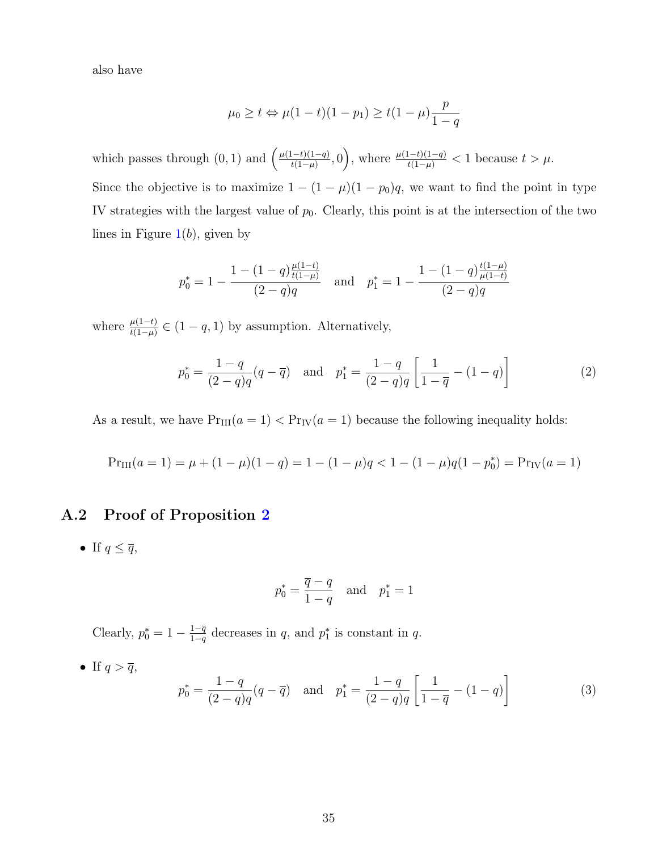also have

$$
\mu_0 \ge t \Leftrightarrow \mu(1-t)(1-p_1) \ge t(1-\mu)\frac{p}{1-q}
$$

which passes through  $(0, 1)$  and  $\left(\frac{\mu(1-t)(1-q)}{t(1-u)}\right)$  $\frac{(t-t)(1-q)}{t(1-\mu)}, 0$ , where  $\frac{\mu(1-t)(1-q)}{t(1-\mu)} < 1$  because  $t > \mu$ . Since the objective is to maximize  $1 - (1 - \mu)(1 - p_0)q$ , we want to find the point in type IV strategies with the largest value of  $p_0$ . Clearly, this point is at the intersection of the two lines in Figure  $1(b)$  $1(b)$ , given by

$$
p_0^* = 1 - \frac{1 - (1 - q) \frac{\mu(1 - t)}{t(1 - \mu)}}{(2 - q)q} \quad \text{and} \quad p_1^* = 1 - \frac{1 - (1 - q) \frac{t(1 - \mu)}{\mu(1 - t)}}{(2 - q)q}
$$

where  $\frac{\mu(1-t)}{t(1-\mu)} \in (1-q, 1)$  by assumption. Alternatively,

$$
p_0^* = \frac{1-q}{(2-q)q}(q-\overline{q}) \text{ and } p_1^* = \frac{1-q}{(2-q)q} \left[ \frac{1}{1-\overline{q}} - (1-q) \right] \tag{2}
$$

As a result, we have  $Pr_{III}(a = 1) < Pr_{IV}(a = 1)$  because the following inequality holds:

$$
Pr_{III}(a=1) = \mu + (1 - \mu)(1 - q) = 1 - (1 - \mu)q < 1 - (1 - \mu)q(1 - p_0^*) = Pr_{IV}(a=1)
$$

### A.2 Proof of Proposition [2](#page-15-0)

• If  $q \leq \overline{q}$ ,

$$
p_0^* = \frac{\overline{q} - q}{1 - q} \quad \text{and} \quad p_1^* = 1
$$

Clearly,  $p_0^* = 1 - \frac{1-\overline{q}}{1-q}$  $\frac{1-q}{1-q}$  decreases in q, and  $p_1^*$  is constant in q.

• If  $q > \overline{q}$ ,

$$
p_0^* = \frac{1-q}{(2-q)q}(q-\overline{q}) \text{ and } p_1^* = \frac{1-q}{(2-q)q} \left[ \frac{1}{1-\overline{q}} - (1-q) \right]
$$
 (3)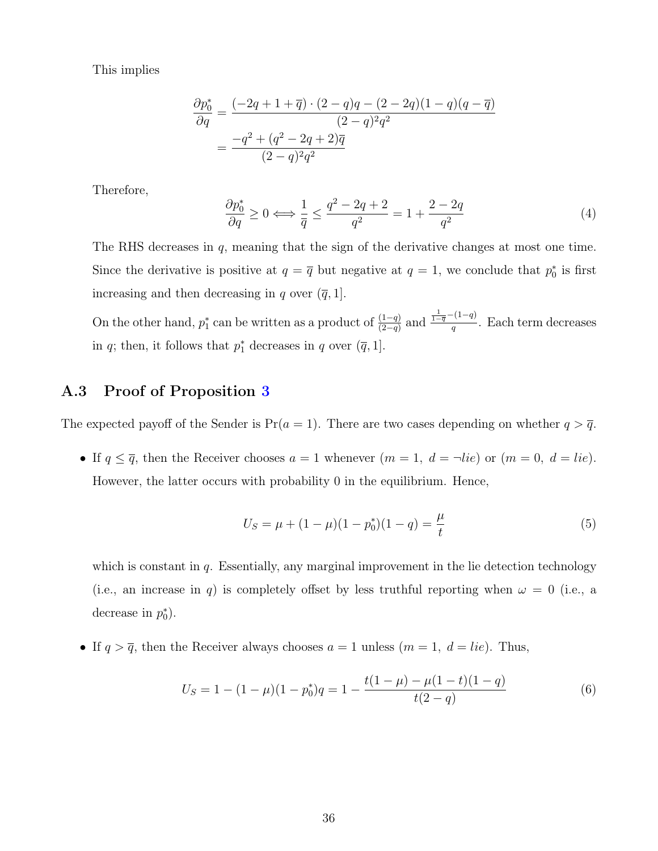This implies

$$
\frac{\partial p_0^*}{\partial q} = \frac{(-2q + 1 + \overline{q}) \cdot (2 - q)q - (2 - 2q)(1 - q)(q - \overline{q})}{(2 - q)^2 q^2}
$$

$$
= \frac{-q^2 + (q^2 - 2q + 2)\overline{q}}{(2 - q)^2 q^2}
$$

Therefore,

$$
\frac{\partial p_0^*}{\partial q} \ge 0 \Longleftrightarrow \frac{1}{\overline{q}} \le \frac{q^2 - 2q + 2}{q^2} = 1 + \frac{2 - 2q}{q^2} \tag{4}
$$

The RHS decreases in q, meaning that the sign of the derivative changes at most one time. Since the derivative is positive at  $q = \overline{q}$  but negative at  $q = 1$ , we conclude that  $p_0^*$  is first increasing and then decreasing in q over  $(\bar{q}, 1]$ .

On the other hand,  $p_1^*$  can be written as a product of  $\frac{(1-q)}{(2-q)}$  and  $\frac{\frac{1}{1-q}-(1-q)}{q}$  $\frac{1}{q}$ . Each term decreases in q; then, it follows that  $p_1^*$  decreases in q over  $(\overline{q}, 1]$ .

### A.3 Proof of Proposition [3](#page-17-0)

The expected payoff of the Sender is  $Pr(a = 1)$ . There are two cases depending on whether  $q > \overline{q}$ .

• If  $q \leq \overline{q}$ , then the Receiver chooses  $a = 1$  whenever  $(m = 1, d = \neg lie)$  or  $(m = 0, d = lie)$ . However, the latter occurs with probability 0 in the equilibrium. Hence,

$$
U_S = \mu + (1 - \mu)(1 - p_0^*)(1 - q) = \frac{\mu}{t}
$$
\n(5)

which is constant in  $q$ . Essentially, any marginal improvement in the lie detection technology (i.e., an increase in q) is completely offset by less truthful reporting when  $\omega = 0$  (i.e., a decrease in  $p_0^*$ ).

• If  $q > \overline{q}$ , then the Receiver always chooses  $a = 1$  unless  $(m = 1, d = lie)$ . Thus,

$$
U_S = 1 - (1 - \mu)(1 - p_0^*)q = 1 - \frac{t(1 - \mu) - \mu(1 - t)(1 - q)}{t(2 - q)}
$$
(6)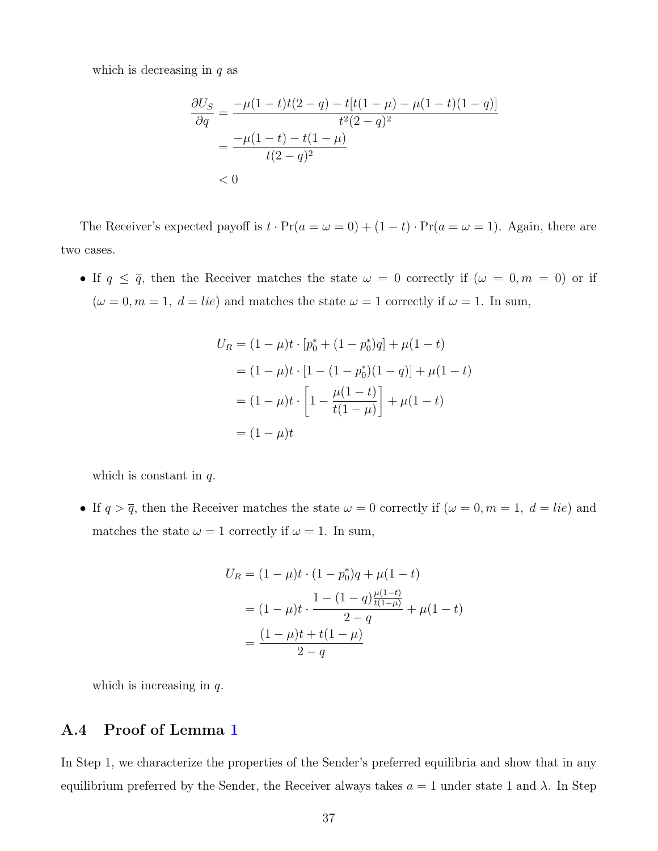which is decreasing in  $q$  as

$$
\frac{\partial U_S}{\partial q} = \frac{-\mu(1-t)t(2-q) - t[t(1-\mu) - \mu(1-t)(1-q)]}{t^2(2-q)^2}
$$

$$
= \frac{-\mu(1-t) - t(1-\mu)}{t(2-q)^2}
$$

$$
< 0
$$

The Receiver's expected payoff is  $t \cdot Pr(a = \omega = 0) + (1 - t) \cdot Pr(a = \omega = 1)$ . Again, there are two cases.

• If  $q \leq \overline{q}$ , then the Receiver matches the state  $\omega = 0$  correctly if  $(\omega = 0, m = 0)$  or if  $(\omega = 0, m = 1, d = lie)$  and matches the state  $\omega = 1$  correctly if  $\omega = 1$ . In sum,

$$
U_R = (1 - \mu)t \cdot [p_0^* + (1 - p_0^*)q] + \mu(1 - t)
$$
  
= (1 - \mu)t \cdot [1 - (1 - p\_0^\*)(1 - q)] + \mu(1 - t)  
= (1 - \mu)t \cdot \left[1 - \frac{\mu(1 - t)}{t(1 - \mu)}\right] + \mu(1 - t)  
= (1 - \mu)t

which is constant in  $q$ .

• If  $q > \overline{q}$ , then the Receiver matches the state  $\omega = 0$  correctly if  $(\omega = 0, m = 1, d = lie)$  and matches the state  $\omega = 1$  correctly if  $\omega = 1$ . In sum,

$$
U_R = (1 - \mu)t \cdot (1 - p_0^*)q + \mu(1 - t)
$$
  
=  $(1 - \mu)t \cdot \frac{1 - (1 - q)\frac{\mu(1 - t)}{t(1 - \mu)}}{2 - q} + \mu(1 - t)$   
=  $\frac{(1 - \mu)t + t(1 - \mu)}{2 - q}$ 

which is increasing in  $q$ .

### A.4 Proof of Lemma [1](#page-25-0)

In Step 1, we characterize the properties of the Sender's preferred equilibria and show that in any equilibrium preferred by the Sender, the Receiver always takes  $a = 1$  under state 1 and  $\lambda$ . In Step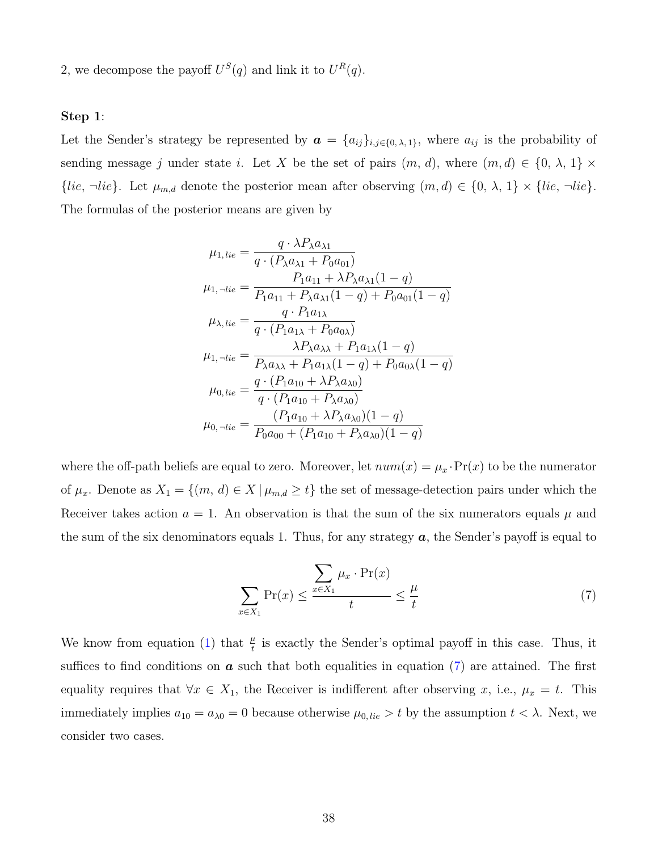2, we decompose the payoff  $U^S(q)$  and link it to  $U^R(q)$ .

#### Step 1:

Let the Sender's strategy be represented by  $\boldsymbol{a} = \{a_{ij}\}_{i,j\in\{0,\lambda,1\}}$ , where  $a_{ij}$  is the probability of sending message j under state i. Let X be the set of pairs  $(m, d)$ , where  $(m, d) \in \{0, \lambda, 1\} \times$  $\{lie, \neg lie\}$ . Let  $\mu_{m,d}$  denote the posterior mean after observing  $(m, d) \in \{0, \lambda, 1\} \times \{lie, \neg lie\}$ . The formulas of the posterior means are given by

$$
\mu_{1,lie} = \frac{q \cdot \lambda P_{\lambda} a_{\lambda 1}}{q \cdot (P_{\lambda} a_{\lambda 1} + P_0 a_{01})}
$$
\n
$$
\mu_{1, \neg lie} = \frac{P_1 a_{11} + \lambda P_{\lambda} a_{\lambda 1} (1 - q)}{P_1 a_{11} + P_{\lambda} a_{\lambda 1} (1 - q) + P_0 a_{01} (1 - q)}
$$
\n
$$
\mu_{\lambda, lie} = \frac{q \cdot P_1 a_{1\lambda}}{q \cdot (P_1 a_{1\lambda} + P_0 a_{0\lambda})}
$$
\n
$$
\mu_{1, \neg lie} = \frac{\lambda P_{\lambda} a_{\lambda \lambda} + P_1 a_{1\lambda} (1 - q)}{P_{\lambda} a_{\lambda \lambda} + P_1 a_{1\lambda} (1 - q) + P_0 a_{0\lambda} (1 - q)}
$$
\n
$$
\mu_{0, lie} = \frac{q \cdot (P_1 a_{10} + \lambda P_{\lambda} a_{\lambda 0})}{q \cdot (P_1 a_{10} + P_{\lambda} a_{\lambda 0})}
$$
\n
$$
\mu_{0, \neg lie} = \frac{(P_1 a_{10} + \lambda P_{\lambda} a_{\lambda 0})(1 - q)}{P_0 a_{00} + (P_1 a_{10} + P_{\lambda} a_{\lambda 0})(1 - q)}
$$

where the off-path beliefs are equal to zero. Moreover, let  $num(x) = \mu_x \cdot Pr(x)$  to be the numerator of  $\mu_x$ . Denote as  $X_1 = \{(m, d) \in X \mid \mu_{m,d} \geq t\}$  the set of message-detection pairs under which the Receiver takes action  $a = 1$ . An observation is that the sum of the six numerators equals  $\mu$  and the sum of the six denominators equals 1. Thus, for any strategy  $\boldsymbol{a}$ , the Sender's payoff is equal to

<span id="page-37-0"></span>
$$
\sum_{x \in X_1} \Pr(x) \le \frac{\sum_{x \in X_1} \mu_x \cdot \Pr(x)}{t} \le \frac{\mu}{t} \tag{7}
$$

We know from equation [\(1\)](#page-24-0) that  $\frac{\mu}{t}$  is exactly the Sender's optimal payoff in this case. Thus, it suffices to find conditions on  $\boldsymbol{a}$  such that both equalities in equation [\(7\)](#page-37-0) are attained. The first equality requires that  $\forall x \in X_1$ , the Receiver is indifferent after observing x, i.e.,  $\mu_x = t$ . This immediately implies  $a_{10} = a_{\lambda 0} = 0$  because otherwise  $\mu_{0,lie} > t$  by the assumption  $t < \lambda$ . Next, we consider two cases.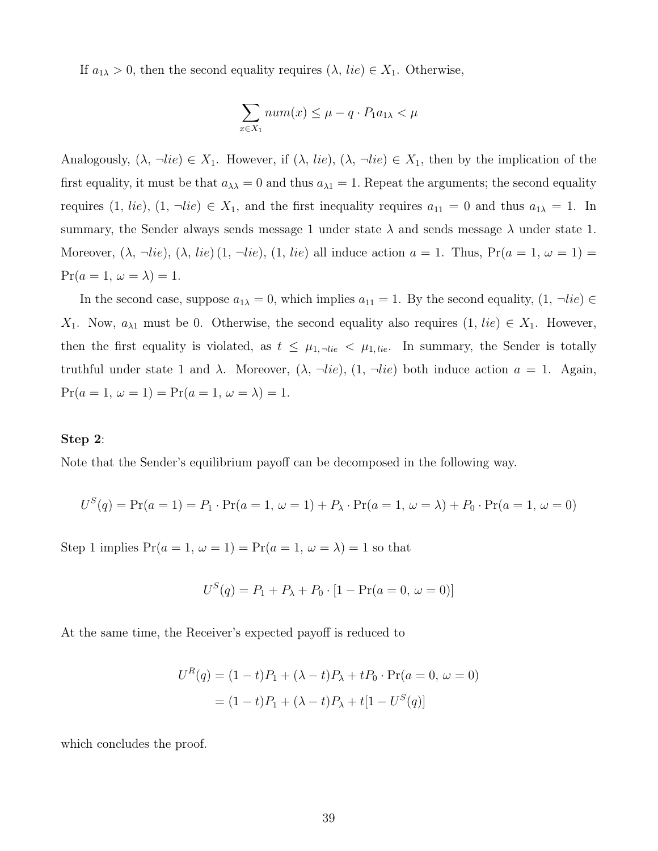If  $a_{1\lambda} > 0$ , then the second equality requires  $(\lambda, lie) \in X_1$ . Otherwise,

$$
\sum_{x \in X_1} num(x) \le \mu - q \cdot P_1 a_{1\lambda} < \mu
$$

Analogously,  $(\lambda, \neg lie) \in X_1$ . However, if  $(\lambda, lie)$ ,  $(\lambda, \neg lie) \in X_1$ , then by the implication of the first equality, it must be that  $a_{\lambda\lambda} = 0$  and thus  $a_{\lambda1} = 1$ . Repeat the arguments; the second equality requires  $(1, lie), (1, \neg lie) \in X_1$ , and the first inequality requires  $a_{11} = 0$  and thus  $a_{1\lambda} = 1$ . In summary, the Sender always sends message 1 under state  $\lambda$  and sends message  $\lambda$  under state 1. Moreover,  $(\lambda, \neg lie)$ ,  $(\lambda, lie)$   $(1, \neg lie)$ ,  $(1, lie)$  all induce action  $a = 1$ . Thus,  $Pr(a = 1, \omega = 1)$  $Pr(a = 1, \omega = \lambda) = 1.$ 

In the second case, suppose  $a_{1\lambda} = 0$ , which implies  $a_{11} = 1$ . By the second equality,  $(1, \neg lie) \in$ X<sub>1</sub>. Now,  $a_{\lambda 1}$  must be 0. Otherwise, the second equality also requires  $(1, lie) \in X_1$ . However, then the first equality is violated, as  $t \leq \mu_{1, \text{--}lie} < \mu_{1, lie}$ . In summary, the Sender is totally truthful under state 1 and  $\lambda$ . Moreover,  $(\lambda, \neg lie)$ ,  $(1, \neg lie)$  both induce action  $a = 1$ . Again,  $Pr(a = 1, \omega = 1) = Pr(a = 1, \omega = \lambda) = 1.$ 

#### Step 2:

Note that the Sender's equilibrium payoff can be decomposed in the following way.

$$
U^{S}(q) = \Pr(a = 1) = P_1 \cdot \Pr(a = 1, \omega = 1) + P_{\lambda} \cdot \Pr(a = 1, \omega = \lambda) + P_0 \cdot \Pr(a = 1, \omega = 0)
$$

Step 1 implies  $Pr(a = 1, \omega = 1) = Pr(a = 1, \omega = \lambda) = 1$  so that

$$
U^{S}(q) = P_1 + P_{\lambda} + P_0 \cdot [1 - \Pr(a = 0, \omega = 0)]
$$

At the same time, the Receiver's expected payoff is reduced to

$$
U^{R}(q) = (1-t)P_{1} + (\lambda - t)P_{\lambda} + tP_{0} \cdot \Pr(a = 0, \omega = 0)
$$

$$
= (1-t)P_{1} + (\lambda - t)P_{\lambda} + t[1 - U^{S}(q)]
$$

which concludes the proof.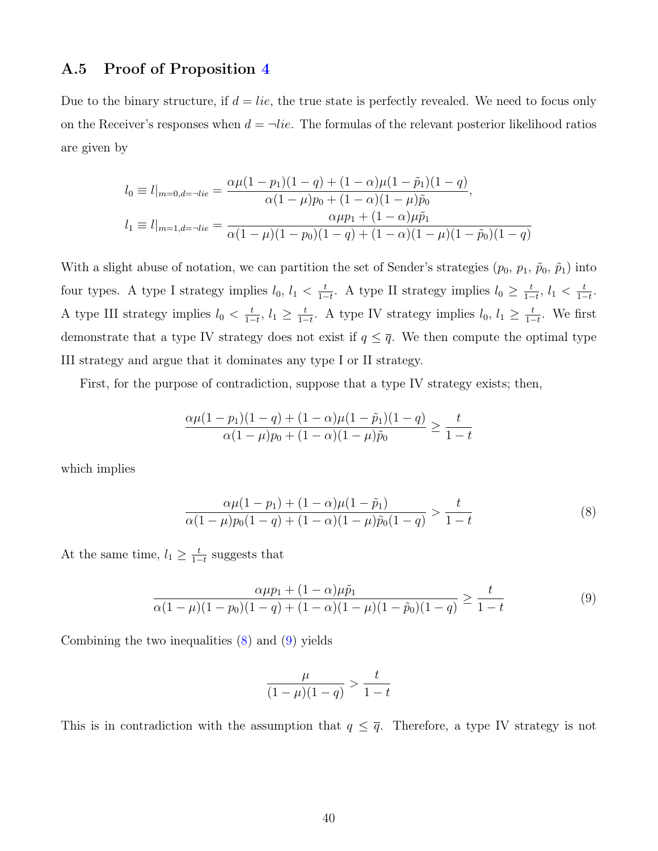### A.5 Proof of Proposition [4](#page-20-0)

Due to the binary structure, if  $d = lie$ , the true state is perfectly revealed. We need to focus only on the Receiver's responses when  $d = \neg lie$ . The formulas of the relevant posterior likelihood ratios are given by

$$
l_0 \equiv l|_{m=0,d=-lie} = \frac{\alpha\mu(1-p_1)(1-q) + (1-\alpha)\mu(1-\tilde{p}_1)(1-q)}{\alpha(1-\mu)p_0 + (1-\alpha)(1-\mu)\tilde{p}_0},
$$
  
\n
$$
l_1 \equiv l|_{m=1,d=-lie} = \frac{\alpha\mu p_1 + (1-\alpha)\mu\tilde{p}_1}{\alpha(1-\mu)(1-p_0)(1-q) + (1-\alpha)(1-\mu)(1-\tilde{p}_0)(1-q)}
$$

With a slight abuse of notation, we can partition the set of Sender's strategies  $(p_0, p_1, \tilde{p}_0, \tilde{p}_1)$  into four types. A type I strategy implies  $l_0, l_1 < \frac{t}{1-t}$  $\frac{t}{1-t}$ . A type II strategy implies  $l_0 \geq \frac{t}{1-t}$  $\frac{t}{1-t}, l_1 < \frac{t}{1-t}$  $\frac{t}{1-t}$ . A type III strategy implies  $l_0 < \frac{t}{1-t}$  $\frac{t}{1-t}, l_1 \geq \frac{t}{1-t}$  $\frac{t}{1-t}$ . A type IV strategy implies  $l_0, l_1 \geq \frac{t}{1-t}$  $\frac{t}{1-t}$ . We first demonstrate that a type IV strategy does not exist if  $q \leq \overline{q}$ . We then compute the optimal type III strategy and argue that it dominates any type I or II strategy.

First, for the purpose of contradiction, suppose that a type IV strategy exists; then,

$$
\frac{\alpha \mu (1 - p_1)(1 - q) + (1 - \alpha)\mu (1 - \tilde{p}_1)(1 - q)}{\alpha (1 - \mu)p_0 + (1 - \alpha)(1 - \mu)\tilde{p}_0} \ge \frac{t}{1 - t}
$$

which implies

$$
\frac{\alpha\mu(1-p_1) + (1-\alpha)\mu(1-\tilde{p}_1)}{\alpha(1-\mu)p_0(1-q) + (1-\alpha)(1-\mu)\tilde{p}_0(1-q)} > \frac{t}{1-t}
$$
\n(8)

At the same time,  $l_1 \geq \frac{t}{1-t}$  $\frac{t}{1-t}$  suggests that

$$
\frac{\alpha\mu p_1 + (1 - \alpha)\mu \tilde{p}_1}{\alpha(1 - \mu)(1 - p_0)(1 - q) + (1 - \alpha)(1 - \mu)(1 - \tilde{p}_0)(1 - q)} \ge \frac{t}{1 - t}
$$
\n(9)

Combining the two inequalities [\(8\)](#page-39-0) and [\(9\)](#page-39-1) yields

<span id="page-39-1"></span><span id="page-39-0"></span>
$$
\frac{\mu}{(1-\mu)(1-q)}>\frac{t}{1-t}
$$

This is in contradiction with the assumption that  $q \leq \overline{q}$ . Therefore, a type IV strategy is not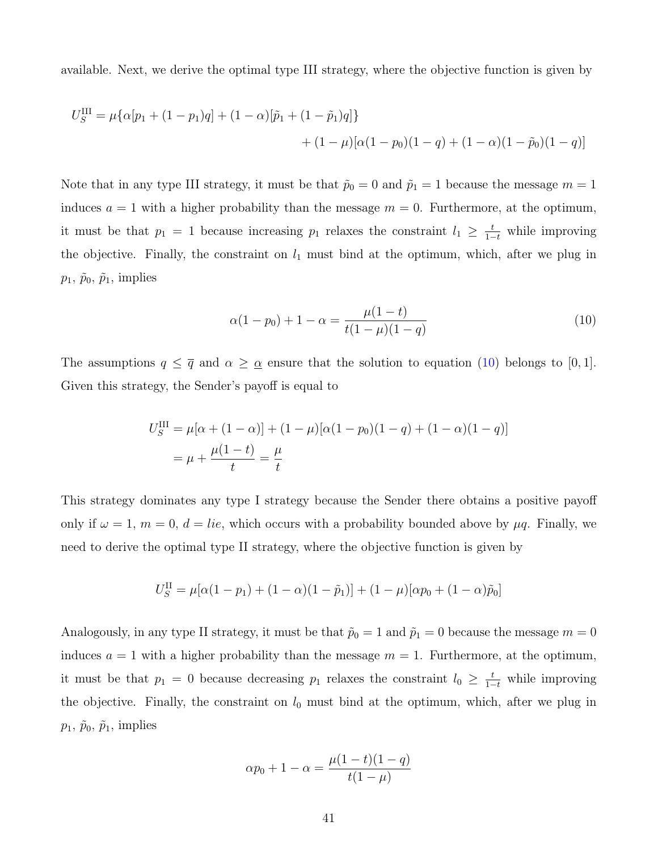available. Next, we derive the optimal type III strategy, where the objective function is given by

$$
U_S^{\text{III}} = \mu \{ \alpha [p_1 + (1 - p_1)q] + (1 - \alpha) [\tilde{p}_1 + (1 - \tilde{p}_1)q] \}
$$
  
+ 
$$
(1 - \mu) [\alpha (1 - p_0)(1 - q) + (1 - \alpha)(1 - \tilde{p}_0)(1 - q)]
$$

Note that in any type III strategy, it must be that  $\tilde{p}_0 = 0$  and  $\tilde{p}_1 = 1$  because the message  $m = 1$ induces  $a = 1$  with a higher probability than the message  $m = 0$ . Furthermore, at the optimum, it must be that  $p_1 = 1$  because increasing  $p_1$  relaxes the constraint  $l_1 \geq \frac{t}{1-t}$  while improving the objective. Finally, the constraint on  $l_1$  must bind at the optimum, which, after we plug in  $p_1, \tilde{p}_0, \tilde{p}_1$ , implies

<span id="page-40-0"></span>
$$
\alpha(1 - p_0) + 1 - \alpha = \frac{\mu(1 - t)}{t(1 - \mu)(1 - q)}
$$
\n(10)

The assumptions  $q \leq \overline{q}$  and  $\alpha \geq \underline{\alpha}$  ensure that the solution to equation [\(10\)](#page-40-0) belongs to [0, 1]. Given this strategy, the Sender's payoff is equal to

$$
U_S^{\text{III}} = \mu[\alpha + (1 - \alpha)] + (1 - \mu)[\alpha(1 - p_0)(1 - q) + (1 - \alpha)(1 - q)]
$$
  
=  $\mu + \frac{\mu(1 - t)}{t} = \frac{\mu}{t}$ 

This strategy dominates any type I strategy because the Sender there obtains a positive payoff only if  $\omega = 1$ ,  $m = 0$ ,  $d = lie$ , which occurs with a probability bounded above by  $\mu q$ . Finally, we need to derive the optimal type II strategy, where the objective function is given by

$$
U_S^{\rm II} = \mu [\alpha (1-p_1) + (1-\alpha)(1-\tilde{p}_1)] + (1-\mu) [\alpha p_0 + (1-\alpha)\tilde{p}_0]
$$

Analogously, in any type II strategy, it must be that  $\tilde{p}_0 = 1$  and  $\tilde{p}_1 = 0$  because the message  $m = 0$ induces  $a = 1$  with a higher probability than the message  $m = 1$ . Furthermore, at the optimum, it must be that  $p_1 = 0$  because decreasing  $p_1$  relaxes the constraint  $l_0 \geq \frac{t}{1-t}$  while improving the objective. Finally, the constraint on  $l_0$  must bind at the optimum, which, after we plug in  $p_1, \tilde{p}_0, \tilde{p}_1$ , implies

$$
\alpha p_0 + 1 - \alpha = \frac{\mu(1 - t)(1 - q)}{t(1 - \mu)}
$$